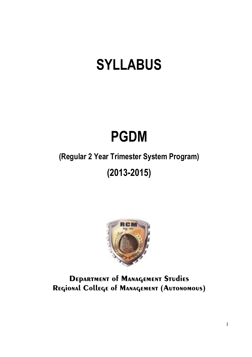# **SYLLABUS**

# **PGDM**

# (Regular 2 Year Trimester System Program)

# $(2013 - 2015)$



# **DEPARTMENT OF MANAGEMENT STUDIES** REGIONAL College of MANAGEMENT (AUTONOMOUS)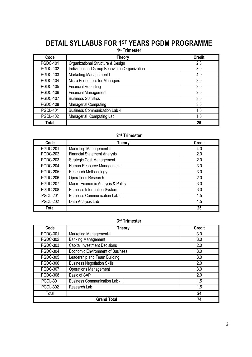# **DETAIL SYLLABUS FOR 1ST YEARS PGDM PROGRAMME**

1<sup>st</sup> Trimester

| ,,,,,,,,,,,     |                                               |               |  |
|-----------------|-----------------------------------------------|---------------|--|
| Code            | Theory                                        | <b>Credit</b> |  |
| <b>PGDC-101</b> | Organizational Structure & Design             | 2.0           |  |
| <b>PGDC-102</b> | Individual and Group Behavior in Organization | 3.0           |  |
| <b>PGDC-103</b> | Marketing Management-I                        | 4.0           |  |
| <b>PGDC-104</b> | Micro Economics for Managers                  | 3.0           |  |
| <b>PGDC-105</b> | <b>Financial Reporting</b>                    | 2.0           |  |
| <b>PGDC-106</b> | <b>Financial Management</b>                   | 2.0           |  |
| <b>PGDC-107</b> | <b>Business Statistics</b>                    | 3.0           |  |
| <b>PGDC-108</b> | Managerial Computing                          | 3.0           |  |
| <b>PGDL-101</b> | <b>Business Communication Lab-I</b>           | 1.5           |  |
| <b>PGDL-102</b> | Managerial Computing Lab                      | 1.5           |  |
| Total           |                                               | 25            |  |

### 2<sup>nd</sup> Trimester

| Code            | <b>Theory</b>                        | <b>Credit</b> |
|-----------------|--------------------------------------|---------------|
| <b>PGDC-201</b> | Marketing Management-II              | 4.0           |
| <b>PGDC-202</b> | <b>Financial Statement Analysis</b>  | 2.0           |
| <b>PGDC-203</b> | <b>Strategic Cost Management</b>     | 2.0           |
| PGDC-204        | Human Resource Management            | 3.0           |
| <b>PGDC-205</b> | Research Methodology                 | 3.0           |
| <b>PGDC-206</b> | <b>Operations Research</b>           | 2.0           |
| <b>PGDC-207</b> | Macro-Economic Analysis & Policy     | 3.0           |
| <b>PGDC-208</b> | <b>Business Information System</b>   | 3.0           |
| <b>PGDL-201</b> | <b>Business Communication Lab-II</b> | 1.5           |
| <b>PGDL-202</b> | Data Analysis Lab                    | 1.5           |
| Total           |                                      | 25            |

#### 3rd Trimester

| Code            | <b>Theory</b>                           | <b>Credit</b> |
|-----------------|-----------------------------------------|---------------|
| <b>PGDC-301</b> | <b>Marketing Management-III</b>         | 3.0           |
| <b>PGDC-302</b> | <b>Banking Management</b>               | 3.0           |
| <b>PGDC-303</b> | <b>Capital Investment Decisions</b>     | 2.0           |
| <b>PGDC-304</b> | <b>Economic Environment of Business</b> | 3.0           |
| <b>PGDC-305</b> | Leadership and Team Building            | 3.0           |
| <b>PGDC-306</b> | <b>Business Negotiation Skills</b>      | 2.0           |
| <b>PGDC-307</b> | <b>Operations Management</b>            | 3.0           |
| <b>PGDC-308</b> | Basic of SAP                            | 2.0           |
| <b>PGDL-301</b> | <b>Business Communication Lab-III</b>   | 1.5           |
| <b>PGDL-302</b> | Research Lab                            | 1.5           |
| Total           |                                         | 24            |
|                 | <b>Grand Total</b>                      | 74            |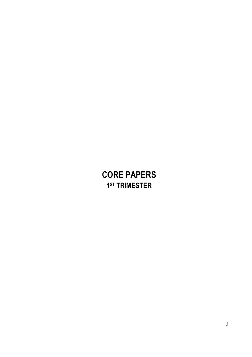# **CORE PAPERS** 1<sup>ST</sup> TRIMESTER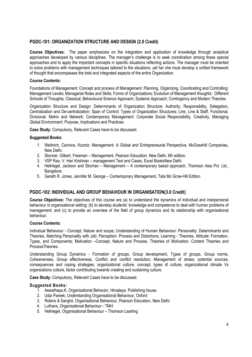#### PGDC-101: ORGANIZATION STRUCTURE AND DESIGN (2.0 Credit)

Course Objectives: The paper emphasizes on the integration and application of knowledge through analytical approaches developed by various disciplines. The manager's challenge is to seek coordination among these special approaches and to apply the important concepts in specific situations reflecting actions. The manager must be oriented to solve problems with management techniques tailored to the situations: yet he/ she must develop a unified framework of thought that encompasses the total and integrated aspects of the entire Organization.

#### **Course Contents:**

Foundations of Management: Concept and process of Management: Planning, Organizing, Coordinating and Controlling; Management Levels; Managerial Roles and Skills; Forms of Organizations; Evolution of Management thoughts: Different Schools of Thoughts; Classical; Behavioural Science Approach; Systems Approach; Contingency and Modern Theories.

Organization Structure and Design: Determinants of Organization Structure; Authority, Responsibility, Delegation, Centralization and De-centralization: Span of Control: Types of Organization Structures: Line, Line & Staff, Functional, Divisional, Matrix and Network: Contemporary Management: Corporate Social Responsibility, Creativity, Managing Global Environment: Purpose, Implications and Practices.

Case Study: Compulsory, Relevant Cases have to be discussed.

#### **Suggested Books:**

- 1. Weihrich, Cannice, Koontz: Management: A Global and Entrepreneurial Perspective, McGrawhill Companies, New Delhi.
- 2. Stonner, Gilbert, Freeman Management, Pearson Education, New Delhi, 6th edition.
- 3. VSP Rao, V. Hari Krishnan management Text and Cases, Excel BooksNew Delhi.
- 4. Hellriegel, Jackson and Slochan Management A contemporary based approach, Thomson Asia Pvt. Ltd., Bangalore.
- 5. Gereth R. Jones, Jennifer M. George Contemporary Management, Tata Mc Grow-Hill Edition.

#### PGDC-102: INDIVIDUAL AND GROUP BEHAVIOUR IN ORGANISATION(3.0 Credit)

**Course Objectives:** The objectives of this course are (a) to understand the dynamics of individual and interpersonal behaviour in organisational setting; (b) to develop students' knowledge and competence to deal with human problems of management; and (c) to provide an overview of the field of group dynamics and its relationship with organisational behaviour.

#### **Course Contents:**

Individual Behaviour - Concept, Nature and scope: Understanding of Human Behaviour: Personality: Determinants and Theories, Matching Personality with Job; Perception: Process and Distortions, Learning - Theories, Attitude: Formation, Types, and Components; Motivation -Concept, Nature and Process, Theories of Motivation: Content Theories and ProcessTheories.

Understanding Group Dynamics - Formation of groups, Group development, Types of groups, Group norms, Cohesiveness, Group effectiveness, Conflict and conflict resolution; Management of stress; potential sources, consequences and coping strategies, organizational culture, concept, types of culture, organizational climate Vs organizations culture, factor contributing towards creating and sustaining culture.

Case Study: Compulsory, Relevant Cases have to be discussed.

- 1. Aswathapa.K, Organisational Behavior, Himalaya. Publishing house.
- 2. Udai Pareek, Understanding Organisational Behaviour, Oxford
- 3. Robins & Sanghii, Organisational Behaviour, Pearson Education, New Delhi.
- 4. Luthans, Organisational Behaviour TMH
- 5. Hellriegel, Organisational Behaviour Thomson Learling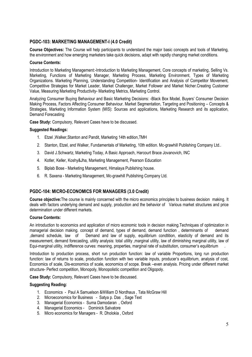#### PGDC-103: MARKETING MANAGEMENT-I (4.0 Credit)

Course Objectives: The Course will help participants to understand the major basic concepts and tools of Marketing. the environment and how emerging marketers take quick decisions, adapt with rapidly changing market conditions.

#### **Course Contents:**

Introduction to Marketing Management:-Introduction to Marketing Management, Core concepts of marketing, Selling Vs. Marketing, Functions of Marketing Manager, Marketing Process, Marketing Environment, Types of Marketing Organizations. Marketing Planning, Understanding Competition-Identification and Analysis of Competitor Movement, Competitive Strategies for Market Leader, Market Challenger, Market Follower and Market Nicher.Creating Customer Value, Measuring Marketing Productivity- Marketing Metrics, Marketing Control.

Analyzing Consumer Buving Behaviour and Basic Marketing Decisions: -Black Box Model, Buvers' Consumer Decision Making Process, Factors Affecting Consumer Behaviour. Market Segmentation, Targeting and Positioning - Concepts & Strategies, Marketing Information System (MIS): Sources and applications, Marketing Research and its application, Demand Forecasting

Case Study: Compulsory, Relevant Cases have to be discussed.

#### **Suggested Readings:**

- 1. Etzel, Walker, Stanton and Pandit, Marketing 14th edition, TMH
- 2. Stanton, Etzel, and Walker, Fundamentals of Marketing, 10th edition, Mc-grawhill Publishing Company Ltd.,
- 3. David J.Schwartz, Marketing Today, A Basic Approach, Harcourt Brace Jovanovich, INC
- 4. Kotler, Keller, Koshy&Jha, Marketing Management, Pearson Education
- 5. Biplab Bose Marketing Management, Himalaya Publishing house.
- 6. R. Saxena Marketing Management, Mc-grawhill Publishing Company Ltd.

#### PGDC-104: MICRO-ECONOMICS FOR MANAGERS (3.0 Credit)

Course objective: The course is mainly concerned with the micro economics principles to business decision making. It deals with factors underlying demand and supply, production and the behavior of Various market structures and price determination under different markets

#### **Course Contents:**

An introduction to economics and application of micro economic tools in decision making. Techniques of optimization in managerial decision making, concept of demand, types of demand, demand function, determinants of demand demand schedule, law of Demand and law of supply, equilibrium condtition, elasticity of demand and its measurement, demand forecasting, utility analysis: total utility marginal utility, law of diminishing marginal utility, law of Equi-marginal utility, indifference curves: meaning, properties, marginal rate of substitution, consumer's equilibrium

Introduction to production process, short run production function: law of variable Proportions, long run production function: law of returns to scale, production function with two variable inputs, producer's equilibrium, analysis of cost. Economics of scale. Dis-economics of scale, economics of scope. Break –even analysis, Pricing under different market structure- Perfect competition, Monopoly, Monopolistic competition and Oligopoly.

Case Study: Compulsory, Relevant Cases have to be discussed.

#### **Suggesting Reading:**

- 1. Economics Paul A Samuelson & William D Nordhaus, Tata McGraw Hill
- 2. Microeconomics for Business Satya p. Das, Sage Text
- 3. Managerial Economics Suma Damodaran, Oxford
- 4. Managerial Economics Dominick Salvatore
- 5. Micro economics for Managers R. Dholokia, Oxford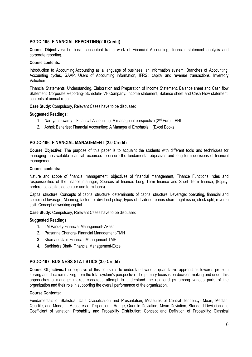#### PGDC-105: FINANCIAL REPORTING(2.0 Credit)

Course Objectives: The basic conceptual frame work of Financial Accounting, financial statement analysis and corporate reporting.

#### **Course contents:**

Introduction to Accounting: Accounting as a language of business: an information system, Branches of Accounting, Accounting cycles, GAAP, Users of Accounting information, IFRS.: capital and revenue transactions. Inventory Valuation.

Financial Statements: Understanding, Elaboration and Preparation of Income Statement, Balance sheet and Cash flow Statement; Corporate Reporting- Schedule- VI- Company: Income statement, Balance sheet and Cash Flow statement, contents of annual report.

Case Study: Compulsory, Relevant Cases have to be discussed.

#### **Suggested Readings:**

- 1. Narayanaswamy Financial Accounting: A managerial perspective (2nd Edn) PHI.
- 2. Ashok Banerjee: Financial Accounting: A Managerial Emphasis (Excel Books)

#### PGDC-106: FINANCIAL MANAGEMENT (2.0 Credit)

Course Objective: The purpose of this paper is to acquaint the students with different tools and techniques for managing the available financial recourses to ensure the fundamental objectives and long term decisions of financial management.

#### **Course contents:**

Nature and scope of financial management, objectives of financial management, Finance Functions, roles and responsibilities of the finance manager, Sources of finance: Long Term finance and Short Term finance, (Equity, preference capital, debenture and term loans).

Capital structure: Concepts of capital structure, determinants of capital structure, Leverage: operating, financial and combined leverage. Meaning, factors of dividend policy, types of dividend, bonus share, right issue, stock split, reverse split. Concept of working capital.

Case Study: Compulsory, Relevant Cases have to be discussed.

#### **Suggested Readings**

- 1. I M Pandey-Financial Management-Vikash
- 2. Prasanna Chandra- Financial Management-TMH
- 3. Khan and Jain-Financial Management-TMH
- 4. Sudhindra Bhatt- Financial Management-Excel

#### PGDC-107: BUSINESS STATISTICS (3.0 Credit)

Course Objectives: The objective of this course is to understand various quantitative approaches towards problem solving and decision making from the total system's perspective. The primary focus is on decision-making and under this approaches a manager makes conscious attempt to understand the relationships among various parts of the organization and their role in supporting the overall performance of the organization.

#### **Course Contents:**

Fundamentals of Statistics: Data Classification and Presentation, Measures of Central Tendency- Mean, Median, Measures of Dispersion- Range, Quartile Deviation, Mean Deviation, Standard Deviation and Quartile, and Mode: Coefficient of variation: Probability and Probability Distribution: Concept and Definition of Probability; Classical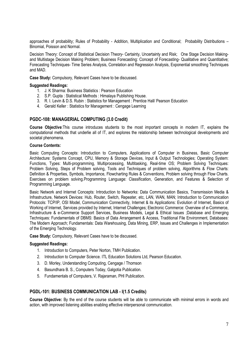approaches of probability: Rules of Probability - Addition. Multiplication and Conditional: Probability Distributions -Binomial, Poisson and Normal.

Decision Theory: Concept of Statistical Decision Theory- Certainty, Uncertainty and Risk; One Stage Decision Makingand Multistage Decision Making Problem; Business Forecasting: Concept of Forecasting- Qualitative and Quantitative; Forecasting Techniques-Time Series Analysis, Correlation and Regression Analysis, Exponential smoothing Techniques and MAD.

Case Study: Compulsory. Relevant Cases have to be discussed.

#### **Suggested Readings:**

- 1. J. K Sharma: Business Statistics : Pearson Education
- 2. S.P. Gupta: Statistical Methods: Himalava Publishing House.
- 3. R. I. Levin & D.S. Rubin: Statistics for Management: Prentice Hall/ Pearson Education
- 4. Gerald Keller: Statistics for Management: Cengage Learning

#### PGDC-108: MANAGERIAL COMPUTING (3.0 Credit)

Course Objective: This course introduces students to the most important concepts in modern IT, explains the computational methods that underlie all of IT, and explores the relationship between technological developments and societal phenomena.

#### **Course Contents:**

Basic Computing Concepts: Introduction to Computers, Applications of Computer in Business, Basic Computer Architecture: Systems Concept, CPU, Memory & Storage Devices, Input & Output Technologies; Operating System: Functions, Types: Multi-programming, Multiprocessing, Multitasking, Real-time OS; Problem Solving Techniques: Problem Solving, Steps of Problem solving, Tools and Techniques of problem solving, Algorithms & Flow Charts: Definition & Properties, Symbols, Importance, Flowcharting Rules & Conventions, Problem solving through Flow Charts. Exercises on problem solving. Programming Language: Classification. Generation, and Features & Selection of Programming Language.

Basic Network and Internet Concepts: Introduction to Networks: Data Communication Basics, Transmission Media & Infrastructure, Network Devices: Hub, Router, Switch, Repeater, etc, LAN, WAN, MAN; Introduction to Communication Protocols: TCP/IP, OSI Model, Communication Connectivity, Internet & its Applications: Evolution of Internet, Basics of Working of Internet, Services provided by Internet, Internet Challenges; Electronic Commerce: Overview of e-Commerce, Infrastructure & e-Commerce Support Services, Business Models, Legal & Ethical Issues :Database and Emerging Techniques: Fundamentals of DBMS: Basics of Data Arrangement & Access, Traditional File Environment, Databases: The Modern Approach; Fundamentals: Data Warehousing, Data Mining, ERP, Issues and Challenges in Implementation of the Emerging Technology.

Case Study: Compulsory, Relevant Cases have to be discussed.

#### **Suggested Readings:**

- 1. Introduction to Computers, Peter Norton, TMH Publication.
- 2. Introduction to Computer Science. ITL Education Solutions Ltd, Pearson Education.
- 3. D. Morley, Understanding Computing, Cengage / Thomson
- 4. Basundhara B. S., Computers Today, Galgotia Publication.
- 5. Fundamentals of Computers, V. Rajaraman, PHI Publication.

#### **PGDL-101: BUSINESS COMMUNICATION LAB - I(1.5 Credits)**

Course Objective: By the end of the course students will be able to communicate with minimal errors in words and action, with improved listening abilities enabling effective interpersonal communication.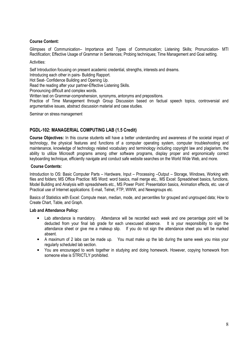#### Course Content:

Glimpses of Communication- Importance and Types of Communication; Listening Skills; Pronunciation- MTI Rectification: Effective Usage of Grammar in Sentences: Probing techniques: Time Management and Goal setting.

#### Activities:

Self Introduction focusing on present academic credential, strengths, interests and dreams.

Introducing each other in pairs- Building Rapport.

Hot Seat- Confidence Building and Opening Up.

Read the reading after your partner-Effective Listening Skills.

Pronouncing difficult and complex words.

Written test on Grammar-comprehension, synonyms, antonyms and prepositions.

Practice of Time Management through Group Discussion based on factual speech topics, controversial and argumentative issues, abstract discussion material and case studies.

Seminar on stress management

#### PGDL-102: MANAGERIAL COMPUTING LAB (1.5 Credit)

Course Objectives: In this course students will have a better understanding and awareness of the societal impact of technology, the physical features and functions of a computer operating system, computer troubleshooting and maintenance, knowledge of technology related vocabulary and terminology including copyright law and plagiarism, the ability to utilize Microsoft programs among other software programs, display proper and ergonomically correct keyboarding technique, efficiently navigate and conduct safe website searches on the World Wide Web, and more.

#### **Course Contents:**

Introduction to OS: Basic Computer Parts - Hardware, Input - Processing -Output - Storage, Windows, Working with files and folders; MS Office Practice: MS Word: word basics, mail merge etc., MS Excel: Spreadsheet basics, functions, Model Building and Analysis with spreadsheets etc., MS Power Point: Presentation basics. Animation effects, etc. use of Practical use of Internet applications: E-mail, Telnet, FTP, WWW, and Newsgroups etc.

Basics of Statistics with Excel: Compute mean, median, mode, and percentiles for grouped and ungrouped data; How to Create Chart, Table, and Graph.

#### **Lab and Attendance Policy:**

- Lab attendance is mandatory. Attendance will be recorded each week and one percentage point will be  $\bullet$ deducted from your final lab grade for each unexcused absence. It is your responsibility to sign the attendance sheet or give me a makeup slip. If you do not sign the attendance sheet you will be marked absent.
- A maximum of 2 labs can be made up. You must make up the lab during the same week you miss your regularly scheduled lab section.
- You are encouraged to work together in studying and doing homework. However, copying homework from someone else is STRICTLY prohibited.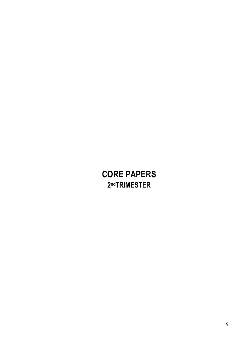# **CORE PAPERS** 2<sup>nd</sup>TRIMESTER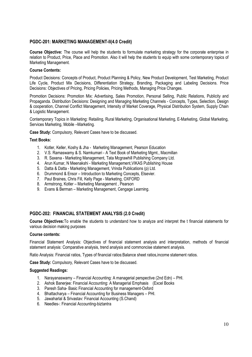#### PGDC-201: MARKETING MANAGEMENT-II(4.0 Credit)

Course Objective: The course will help the students to formulate marketing strategy for the corporate enterprise in relation to Product, Price, Place and Promotion. Also it will help the students to equip with some contemporary topics of Marketing Management.

#### **Course Contents:**

Product Decisions: Concepts of Product, Product Planning & Policy, New Product Development, Test Marketing, Product Life Cycle, Product Mix Decisions, Differentiation Strategy, Branding, Packaging and Labeling Decisions. Price Decisions: Objectives of Pricing, Pricing Policies, Pricing Methods, Managing Price Changes.

Promotion Decisions: Promotion Mix: Advertising, Sales Promotion, Personal Selling, Public Relations, Publicity and Propaganda, Distribution Decisions: Designing and Managing Marketing Channels - Concepts, Types, Selection, Design & cooperation, Channel Conflict Management, Intensity of Market Coverage, Physical Distribution System, Supply Chain & Logistic Management.

Contemporary Topics in Marketing: Retailing, Rural Marketing, Organisational Marketing, E-Marketing, Global Marketing, Services Marketing, Mobile -Marketing.

Case Study: Compulsory, Relevant Cases have to be discussed.

#### **Text Books:**

- 1. Kotler, Keller, Koshy & Jha Marketing Management, Pearson Education
- 2. V.S. Ramaswamy & S. Namkumari A Text Book of Marketing Mgmt., Macmillan
- 3. R. Saxena Marketing Management, Tata Mcgrawhill Publishing Company Ltd.
- 4. Arun Kumar, N Meenakshi Marketing Management, VIKAS Publishing House
- 5. Datta & Datta Marketing Management, Vrinda Publications (p) Ltd.
- 6. Drummond & Ensor Introduction to Marketing Concepts, Elsevier.
- 7. Paul Braines, Chris Fill, Kelly Page Marketing, OXFORD
- 8. Armstrong, Kotler Marketing Management, Pearson
- 9. Evans & Berman Marketing Management, Cengage Learning.

#### PGDC-202: FINANCIAL STATEMENT ANALYSIS (2.0 Credit)

Course Objectives: To enable the students to understand how to analyze and interpret the t financial statements for various decision making purposes

#### **Course contents:**

Financial Statement Analysis: Objectives of financial statement analysis and interpretation, methods of financial statement analysis: Comparative analysis, trend analysis and commoncise statement analysis.

Ratio Analysis: Financial ratios, Types of financial ratios: Balance sheet ratios, income statement ratios.

Case Study: Compulsory, Relevant Cases have to be discussed.

#### **Suggested Readings:**

- 1. Narayanaswamy Financial Accounting: A managerial perspective (2nd Edn) PHI.
- 2. Ashok Baneriee: Financial Accounting: A Managerial Emphasis (Excel Books)
- 3. Paresh Saha- Basic Financial Accounting for management-Oxford
- 4. Bhattacharya Financial Accounting for Business Managers PHI.
- 5. Jawaharlal & Srivastav: Financial Accounting (S.Chand)
- 6. Needles-: Financial Accounting-biztantra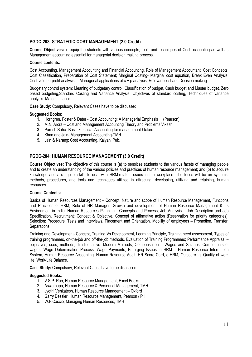#### PGDC-203: STRATEGIC COST MANAGEMENT (2.0 Credit)

Course Objectives: To equip the students with various concepts, tools and techniques of Cost accounting as well as Management accounting essential for managerial decision making process.

#### **Course contents:**

Cost Accounting, Management Accounting and Financial Accounting, Role of Management Accountant, Cost Concepts, Cost Classification, Preparation of Cost Statement; Marginal Costing- Marginal cost equation, Break Even Analysis, Cost-volume-profit analysis, Managerial applications of c-v-p analysis. Relevant cost and Decision making.

Budgetary control system: Meaning of budgetary control, Classification of budget, Cash budget and Master budget, Zero based budgeting, Standard Costing and Variance Analysis: Objectives of standard costing, Techniques of variance analysis: Material. Labor.

Case Study: Compulsory, Relevant Cases have to be discussed.

#### **Suggested Books:**

- 1. Horngren, Foster & Dater Cost Accounting: A Managerial Emphasis (Pearson)
- 2. M.N. Arora Cost and Management Accounting Theory and Problems Vikash
- 3. Paresh Saha- Basic Financial Accounting for management-Oxford
- 4. Khan and Jain- Management Accounting-TMH
- 5. Jain & Narang: Cost Accounting, Kalyani Pub.

#### PGDC-204: HUMAN RESOURCE MANAGEMENT (3.0 Credit)

**Course Objectives:** The objective of this course is (a) to sensitize students to the various facets of managing people and to create an understanding of the various policies and practices of human resource management; and (b) to acquire knowledge and a range of skills to deal with HRM-related issues in the workplace. The focus will be on systems, methods, procedures, and tools and techniques utilized in attracting, developing, utilizing and retaining, human resources

#### **Course Contents:**

Basics of Human Resources Management - Concept, Nature and scope of Human Resource Management, Functions and Practices of HRM, Role of HR Manager, Growth and development of Human Resource Management & Its Environment in India; Human Resources Planning - Concepts and Process, Job Analysis - Job Description and Job Specification. Recruitment: Concept & Objective. Concept of affirmative action (Reservation for priority categories). Selection: Procedure, Tests and Interviews, Placement and Orientation, Mobility of employees - Promotion, Transfer, Separations.

Training and Development- Concept, Training Vs Development, Learning Principle, Training need assessment, Types of training programmes, on-the-job and off-the-job methods. Evaluation of Training Programmes: Performance Appraisal – objectives, uses, methods, Traditional vs. Modern Methods; Compensation - Wages and Salaries, Components of wages. Wage Determination Process. Wage Payments: Emerging Issues in HRM - Human Resource Information System, Human Resource Accounting, Human Resource Audit, HR Score Card, e-HRM, Outsourcing, Quality of work life, Work-Life Balance.

Case Study: Compulsory, Relevant Cases have to be discussed.

- 1. V.S.P. Rao, Human Resource Management. Excel Books
- 2. Aswathapa, Human Resource & Personnel Management, TMH
- 3. Jyothi Venkatesh, Human Resource Management Oxford
- 4. Garry Dessler, Human Resource Management, Pearson / PHI
- 5. W.F.Cascio, Managing Human Resources, TMH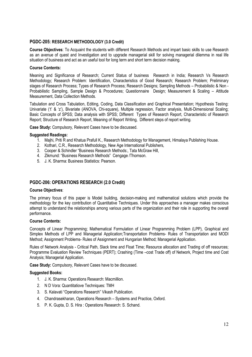#### PGDC-205: RESEARCH METHODOLOGY (3.0 Credit)

Course Objectives: To Acquaint the students with different Research Methods and impart basic skills to use Research as an avenue of quest and Investigation and to upgrade managerial skill for solving managerial dilemma in real life situation of business and act as an useful tool for long term and short term decision making.

#### **Course Contents:**

Meaning and Significance of Research; Current Status of business Research in India; Research Vs Research Methodology; Research Problem: Identification, Characteristics of Good Research; Research Problem; Preliminary stages of Research Process; Types of Research Process; Research Designs; Sampling Methods - Probabilistic & Non -Probabilistic Sampling. Sample Design & Procedures: Questionnaire Design: Measurement & Scaling - Attitude Measurement. Data Collection Methods.

Tabulation and Cross Tabulation, Editing, Coding, Data Classification and Graphical Presentation; Hypothesis Testing: Univariate ('t' & 'z'), Bivariate (ANOVA, Chi-square), Multiple regression, Factor analysis, Multi-Dimensional Scaling; Basic Concepts of SPSS; Data analysis with SPSS; Different Types of Research Report, Characteristic of Research Report: Structure of Research Report, Meaning of Report Writing, Different steps of report writing.

Case Study: Compulsory, Relevant Cases have to be discussed.

#### **Suggested Readings:**

- 1. Majhi, Priti R and Khatua Prafull K., Research Methodology for Management, Himalaya Publishing House.
- 2. Kothari, C.R., Research Methodology, New Age International Publishers,
- 3. Cooper & Schindler "Business Research Methods:, Tata McGraw Hill,
- 4. Zikmund: "Business Research Methods" Cengage /Thomson.
- 5 J. K. Sharma: Business Statistics: Pearson

#### PGDC-206: OPERATIONS RESEARCH (2.0 Credit)

#### **Course Objectives:**

The primary focus of this paper is Model building, decision-making and mathematical solutions which provide the methodology for the key contribution of Quantitative Techniques. Under this approaches a manager makes conscious attempt to understand the relationships among various parts of the organization and their role in supporting the overall performance.

#### **Course Contents:**

Concepts of Linear Programming; Mathematical Formulation of Linear Programming Problem (LPP), Graphical and Simplex Methods of LPP and Managerial Application; Transportation Problems- Rules of Transportation and MODI Method: Assignment Problems- Rules of Assignment and Hungarian Method: Managerial Application.

Rules of Network Analysis - Critical Path, Slack time and Float Time; Resource allocation and Trading of off resources; Programme Evaluation Review Techniques (PERT): Crashing (Time -cost Trade off) of Network. Project time and Cost Analysis; Managerial Application.

Case Study: Compulsory, Relevant Cases have to be discussed.

- 1. J. K. Sharma: Operations Research: Macmillion.
- 2. N D Vora: Quantitatiove Techniques: TMH
- 3. S. Kalavati "Operations Research" Vikash Publication.
- 4. Chandrasekharan, Operations Research Systems and Practice, Oxford.
- 5. P. K. Gupta, D. S. Hira: Operations Research: S. Schand.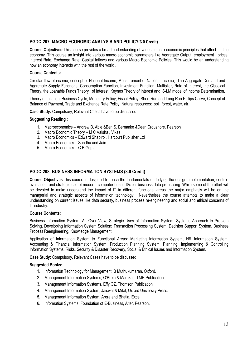#### PGDC-207: MACRO ECONOMIC ANALYSIS AND POLICY(3.0 Credit)

Course Objectives: This course provides a broad understanding of various macro-economic principles that affect the economy. This course an insight into various macro-economic parameters like Agaregate Output, employment .prices, interest Rate, Exchange Rate, Capital Inflows and various Macro Economic Policies. This would be an understanding how an economy interacts with the rest of the world.

#### Course Contents:

Circular flow of income, concept of National Income, Measurement of National Income; The Aggregate Demand and Aggregate Supply Functions, Consumption Function, Investment Function, Multiplier, Rate of Interest, the Classical Theory, the Loanable Funds Theory of Interest. Keynes Theory of Interest and IS-LM model of Income Determination.

Theory of Inflation, Business Cycle, Monetary Policy, Fiscal Policy, Short Run and Long Run Philips Curve, Concept of Balance of Payment, Trade and Exchange Rate Policy, Natural resources: soil, forest, water, air.

Case Study: Compulsory, Relevant Cases have to be discussed.

#### **Suggesting Reading:**

- 1. Macroeconomics Andrew B, Able & Ben S. Bernanke & Dean Croushore, Pearson
- 2. Macro Economic Theory M C Vaisha, Vikas
- 3. Macro Economics Edward Shapiro, Harcourt Publisher Ltd
- 4. Macro Economics Sandhu and Jain
- 5. Macro Economics C B Gupta.

#### PGDC-208: BUSINESS INFORMATION SYSTEMS (3.0 Credit)

Course Objectives: This course is designed to teach the fundamentals underlying the design, implementation, control, evaluation, and strategic use of modern, computer-based ISs for business data processing. While some of the effort will be devoted to make understand the impact of IT in different functional areas the major emphasis will be on the managerial and strategic aspects of information technology. Nevertheless the course attempts to make a clear understanding on current issues like data security, business process re-engineering and social and ethical concerns of IT industry.

#### **Course Contents:**

Business Information System: An Over View, Strategic Uses of Information System, Systems Approach to Problem Solving, Developing Information System Solution; Transaction Processing System, Decision Support System, Business Process Reengineering, Knowledge Management

Application of Information System to Functional Areas: Marketing Information System, HR Information System, Accounting & Financial Information System, Production Planning System; Planning, Implementing & Controlling Information Systems, Risks, Security & Disaster Recovery, Social & Ethical Issues and Information System.

Case Study: Compulsory, Relevant Cases have to be discussed.

- 1. Information Technology for Management, B Muthukumaran, Oxford.
- 2. Management Information Systems, O'Brein & Marakas, TMH Publication.
- 3. Management Information Systems, Effy OZ, Thomson Publication.
- 4. Management Information System, Jaiswal & Mital, Oxford University Press.
- 5. Management Information System, Arora and Bhatia, Excel.
- 6. Information Systems: Foundation of E-Business, Alter, Pearson.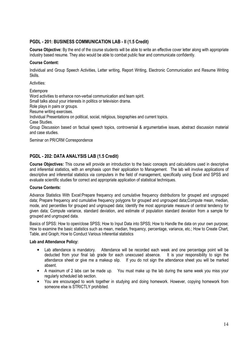#### PGDL - 201: BUSINESS COMMUNICATION LAB - II (1.5 Credit)

Course Objective: By the end of the course students will be able to write an effective cover letter along with appropriate industry based resume. They also would be able to combat public fear and communicate confidently.

#### **Course Content:**

Individual and Group Speech Activities, Letter writing, Report Writing, Electronic Communication and Resume Writing Skills.

Activities:

Extempore Word activities to enhance non-verbal communication and team spirit. Small talks about your interests in politics or television drama. Role plays in pairs or groups. Resume writing exercises. Individual Presentations on political, social, religious, biographies and current topics. Case Studies. Group Discussion based on factual speech topics, controversial & argumentative issues, abstract discussion material and case studies.

Seminar on PR/CRM Correspondence

#### PGDL - 202: DATA ANALYSIS LAB (1.5 Credit)

Course Objectives: This course will provide an introduction to the basic concepts and calculations used in descriptive and inferential statistics, with an emphasis upon their application to Management. The lab will involve applications of descriptive and inferential statistics via computers in the field of management, specifically using Excel and SPSS and evaluate scientific studies for correct and appropriate application of statistical techniques.

#### **Course Contents:**

Advance Statistics With Excel: Prepare frequency and cumulative frequency distributions for grouped and ungrouped data; Prepare frequency and cumulative frequency polygons for grouped and ungrouped data; Compute mean, median, mode, and percentiles for grouped and ungrouped data; Identify the most appropriate measure of central tendency for given data; Compute variance, standard deviation, and estimate of population standard deviation from a sample for grouped and ungrouped data.

Basics of SPSS: How to open/close SPSS; How to Input Data into SPSS; How to Handle the data on your own purpose; How to examine the basic statistics such as mean, median, frequency, percentage, variance, etc.; How to Create Chart, Table, and Graph; How to Conduct Various Inferential statistics

#### **Lab and Attendance Policy:**

- Lab attendance is mandatory. Attendance will be recorded each week and one percentage point will be deducted from your final lab grade for each unexcused absence. It is your responsibility to sign the attendance sheet or give me a makeup slip. If you do not sign the attendance sheet you will be marked absent
- A maximum of 2 labs can be made up. You must make up the lab during the same week you miss your regularly scheduled lab section.
- You are encouraged to work together in studying and doing homework. However, copying homework from someone else is STRICTLY prohibited.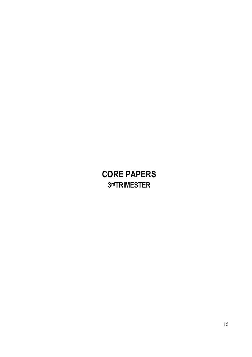# **CORE PAPERS** 3rdTRIMESTER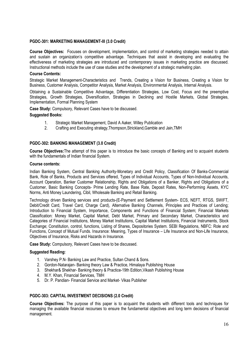#### PGDC-301: MARKETING MANAGEMENT-III (3.0 Credit)

Course Objectives: Focuses on development, implementation, and control of marketing strategies needed to attain and sustain an organization's competitive advantage. Techniques that assist in developing and evaluating the effectiveness of marketing strategies are introduced and contemporary issues in marketing practice are discussed. Instructional methods include the use of case studies and the development of a strategic marketing plan.

#### **Course Contents:**

Strategic Market Management-Characteristics and Trends, Creating a Vision for Business, Creating a Vision for Business, Customer Analysis, Competitor Analysis, Market Analysis, Environmental Analysis, Internal Analysis.

Obtaining a Sustainable Competitive Advantage, Differentiation Strategies, Low Cost, Focus and the preemptive Strategies, Growth Strategies, Diversification, Strategies in Declining and Hostile Markets, Global Strategies, Implementation, Formal Planning System

Case Study: Compulsory, Relevant Cases have to be discussed.

#### **Suggested Books:**

- $1<sub>1</sub>$ Strategic Market Management, David A Aaker, Willey Publication
- $2<sup>2</sup>$ Crafting and Executing strategy. Thompson. Strickland. Gamble and Jain. TMH

#### PGDC-302: BANKING MANAGEMENT (3.0 Credit)

Course Objectives: The attempt of this paper is to introduce the basic concepts of Banking and to acquaint students with the fundamentals of Indian financial System.

#### **Course contents:**

Indian Banking System, Central Banking Authority-Monetary and Credit Policy, Classification Of Banks-Commercial Bank, Role of Banks, Products and Services offered, Types of Individual Accounts, Types of Non-Individual Accounts, Account Operation, Banker Customer Relationship, Rights and Obligations of a Banker, Rights and Obligations of a Customer, Basic Banking Concepts- Prime Lending Rate, Base Rate, Deposit Rates, Non-Performing Assets, KYC Norms, Anti Money Laundering, Cibil, Wholesale Banking and Retail Banking.

Technology driven Banking services and products-(E-Payment and Settlement System- ECS, NEFT, RTGS, SWIFT, Debit/Credit Card, Travel Card, Charge Card), Alternative Banking Channels, Principles and Practices of Lending; Introduction to Financial System, Importance, Components and Functions of Financial System; Financial Markets Classification: Money Market, Capital Market, Debt Market, Primary and Secondary Market, Characteristics and Categories of Financial Institutions, Money Market Institutions, Capital Market Institutions, Financial Instruments, Stock Exchange; Constitution, control, functions, Listing of Shares, Depositories System. SEBI Regulations, NBFC: Role and Functions, Concept of Mutual Funds. Insurance: Meaning, Types of Insurance – Life Insurance and Non-Life Insurance, Objectives of Insurance, Risks and Hazards in Insurance.

Case Study: Compulsory. Relevant Cases have to be discussed.

#### **Suggested Reading:**

- 1. Varshey P.N- Banking Law and Practice, Sultan Chand & Sons.
- 2. Gordon-Natarajan- Banking theory Law & Practice, Himalaya Publishing House
- 3. Shekhar& Shekhar- Banking theory & Practice-19th Edition, Vikash Publishing House
- 4. M.Y. Khan, Financial Services, TMH
- 5. Dr. P. Pandian- Financial Service and Market- Vikas Publisher

#### PGDC-303: CAPITAL INVESTMENT DECISIONS (2.0 Credit)

Course Objectives: The purpose of this paper is to acquaint the students with different tools and techniques for managing the available financial recourses to ensure the fundamental objectives and long term decisions of financial management.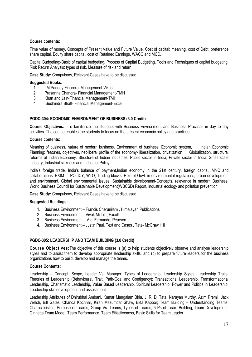#### Course contents:

Time value of money, Concepts of Present Value and Future Value, Cost of capital: meaning, cost of Debt, preference share capital, Equity share capital, cost of Retained Earnings, WACC and MCC.

Capital Budgeting:-Basic of capital budgeting, Process of Capital Budgeting, Tools and Techniques of capital budgeting; Risk Return Analysis: types of risk, Measure of risk and return.

Case Study: Compulsory, Relevant Cases have to be discussed.

#### **Suggested Books:**

- I M Pandey-Financial Management-Vikash  $1_{\cdot}$
- $2<sub>1</sub>$ Prasanna Chandra- Financial Management-TMH
- Khan and Jain-Financial Management-TMH  $3.$
- Sudhindra Bhatt- Financial Management-Excel  $\mathbf{4}$

#### PGDC-304: ECONOMIC ENVIRONMENT OF BUSINESS (3.0 Credit)

Course Objectives: To familiarize the students with Business Environment and Business Practices in day to day activities. The course enables the students to focus on the present economic policy and practices.

#### **Course contents:**

Meaning of business, nature of modern business, Environment of business, Economic system, Indian Economic Planning: features, objectives, neoliberal profile of the economy- liberalization, privatization Globalization, structural reforms of Indian Economy. Structure of Indian industries. Public sector in India. Private sector in India. Small scale industry, Industrial sickness and Industrial Policy.

India's foreign trade, India's balance of payment, Indian economy in the 21st century, foreign capital, MNC and collaborations. EXIM POLICY, WTO, Trading blocks. Role of Govt, in environmental regulations, urban development and environment. Global environmental issues. Sustainable development-Concepts, relevance in modern Business, World Business Council for Sustainable Development (WBCSD) Report, industrial ecology and pollution prevention

Case Study: Compulsory. Relevant Cases have to be discussed.

#### **Suggested Readings:**

- 1. Business Environment Francis Cherunilam, Himalayan Publications
- 2. Business Environment Vivek Mittal, Excell
- 3. Business Environment A c Fernando, Pearson
- 4. Business Environment Justin Paul, Text and Cases, Tata- McGraw Hill

#### PGDC-305: LEADERSHIP AND TEAM BUILDING (3.0 Credit)

Course Objectives: The objective of this course is (a) to help students objectively observe and analyse leadership styles and to assist them to develop appropriate leadership skills; and (b) to prepare future leaders for the business organizations how to build, develop and manage the teams.

#### **Course Contents:**

Leadership - Concept, Scope, Leader Vs. Manager, Types of Leadership, Leadership Styles, Leadership Traits, Theories of Leadership (Behavioural, Trait, Path-Goal and Contigency); Transactional Leadership, Transformational Leadership, Charismatic Leadership, Value Based Leadership, Spiritual Leadership, Power and Politics in Leadership, Leadership skill development and assessment.

Leadership Attributes of Dhirubhai Ambani, Kumar Mangalam Birla, J. R. D. Tata, Narayan Murthy, Azim Premii, Jack Welch, Bill Gates, Chanda Kochhar, Kiran Mazumdar Shaw, Ekta Kapoor; Team Building - Understanding Teams, Characteristics, Purpose of Teams, Group Vs. Teams, Types of Teams, 5 Ps of Team Building, Team Development, Ginnetts Team Model, Team Performance, Team Effectiveness, Basic Skills for Team Leader.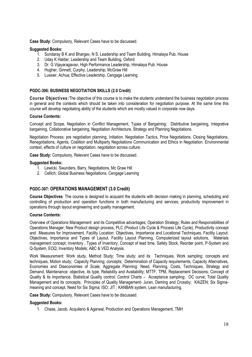Case Study: Compulsory, Relevant Cases have to be discussed.

#### **Suggested Books:**

- 1. Sundaray B K and Bhargay, N S, Leadership and Team Building, Himalaya Pub. House
- 2. Udav K Haldar. Leadership and Team Building, Oxford
- 3. Dr. G Vijayaragavan, High Performance Leadership, Himalaya Pub. House
- 4. Hugher, Ginnett, Curphy, Leadership, McGraw Hill
- 5. Lussier, Achua; Effective Leadership, Cengage Learning

#### PGDC-306: BUSINESS NEGOTIATION SKILLS (2.0 Credit)

Course Objectives: The objective of this course is to make the students understand the business negotiation process in general and the contexts which should be taken into consideration for negotiation purpose. At the same time this course will develop negotiating ability of the students which are mostly valued in corporate now days.

#### **Course Contents:**

Concept and Scope, Negotiation in Conflict Management, Types of Bargaining: Distributive bargaining, Integrative bargaining, Collaborative bargaining, Negotiation Architecture, Strategy and Planning Negotiations.

Negotiation Process: pre negotiation planning, Initiation, Negotiation Tactics, Price Negotiations, Closing Negotiations, Renegotiations, Agents, Coalition and Multiparty Negotiations Communication and Ethics in Negotiation. Environmental context, effects of culture on negotiation, negotiation across culture.

Case Study: Compulsory, Relevant Cases have to be discussed.

#### **Suggested Books:**

- 1. Lewicki, Swunders, Barry, Negotiations, Mc Graw Hill
- 2. Cellich; Global Business Negotiations, Cengage Learning

#### PGDC-307: OPERATIONS MANAGEMENT (3.0 Credit)

Course Objectives: The course is designed to acquaint the students with decision making in planning, scheduling and controlling of production and operation functions in both manufacturing and services, productivity improvement in operations through layout engineering and quality management.

#### **Course Contents:**

Overview of Operations Management: and its Competitive advantages: Operation Strategy; Rules and Responsibilities of Operations Manager; New Product design process, PLC (Product Life Cycle & Process Life Cycle), Productivity concept and Measures for Improvement, Facility Location: Objectives, Importance and Locational Techniques, Facility Layout: Objectives, Importance and Types of Layout, Facility Layout Planning, Computerized layout solutions, Materials management concept; Inventory, Types of Inventory, Concept of lead time, Safety Stock, Reorder point, P-System and Q-System, EOQ: Inventory Models: ABC & VED Analysis.

Work Measurement: Work study, Method Study; Time study; and its Techniques, Work sampling: concepts and techniques, Motion study; Capacity Planning; concepts; Determination of Capacity requirements, Capacity Alternatives, Economies and Diseconomies of Scale; Aggregate Planning: Need, Planning, Costs, Techniques, Strategy and Demand, Maintenance: objective, its type, Reliability and Availability; MTTF, TPM, Replacement Decisions; Concept of Quality & its importance: Statistical Quality control: Control Charts - Acceptance sampling: OC curve: Total Quality Management and its concepts; Principles of Quality Management- Juran, Deming and Crossby; KAIZEN; Six Sigmameaning and concept, Need for Six Sigma; ISO; JIT; KANBAN system, Lean manufacturing.

Case Study: Compulsory, Relevant Cases have to be discussed.

#### **Suggested Books:**

1. Chase, Jacob, Acquileno & Agarwal, Production and Operations Management, TMH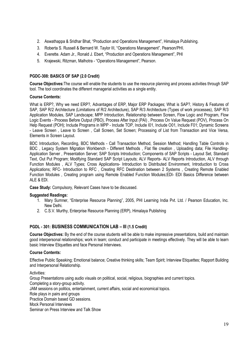- 2. Aswathappa & Sridhar Bhat, "Production and Operations Management", Himalaya Publishing.
- 3. Roberta S. Russell & Bernard W. Taylor III, "Operations Management", Pearson/PHI.
- 4. Everette. Adam Jr., Ronald J. Ebert, "Production and Operations Management", PHI
- 5. Krajewski, Ritzman, Malhotra "Operations Management", Pearson.

#### PGDC-308: BASICS OF SAP (2.0 Credit)

Course Objectives: The course will enable the students to use the resource planning and process activities through SAP tool. The tool coordinates the different managerial activities as a single entity.

#### **Course Contents:**

What is ERP?, Why we need ERP?, Advantages of ERP, Major ERP Packages; What is SAP?, History & Features of SAP, SAP R/2 Architecture (Limitations of R/2 Architecture), SAP R/3 Architecture (Types of work processes), SAP R/3 Application Modules, SAP Landscape; MPP Introduction, Relationship between Screen, Flow Logic and Program, Flow Logic Events - Process Before Output (PBO), Process After Input (PAI), Process On Value Request (POV), Process On Help Request (POH); Include Programs in MPP - Include TOP, Include 101, Include 001, Include F01; Dynamic Screens - Leave Screen, Leave to Screen, Call Screen, Set Screen; Processing of List from Transaction and Vice Versa, Elements in Screen Layout.

BDC Introduction, Recording, BDC Methods - Call Transaction Method, Session Method; Handling Table Controls in BDC, Legacy System Migration Workbench - Different Methods, Flat file creation, Uploading data: File Handling-Application Server, Presentation Server; SAP Scripts Introduction; Components of SAP Scripts - Layout Set, Standard Text, Out Put Program; Modifying Standard SAP Script Layouts; ALV Reports- ALV Reports Introduction, ALV through Function Modules, ALV Types; Cross Applications- Introduction to Distributed Environment, Introduction to Cross Applications: RFC- Introduction to RFC, Creating RFC Destination between 2 Systems, Creating Remote Enabled Function Modules, Creating program using Remote Enabled Function Modules; EDI- EDI Basics Difference between ALE & EDI.

Case Study: Compulsory, Relevant Cases have to be discussed.

#### **Suggested Readings:**

- 1. Mary Sumner, "Enterprise Resource Planning", 2005, PHI Learning India Pvt. Ltd. / Pearson Education, Inc. New Delhi.
- 2. C.S.V. Murthy, Enterprise Resource Planning (ERP), Himalaya Publishing

#### PGDL - 301: BUSINESS COMMUNICATION LAB - III (1.5 Credit)

Course Objectives: By the end of the course students will be able to make impressive presentations, build and maintain good interpersonal relationships; work in team; conduct and participate in meetings effectively. They will be able to learn basic Interview Etiquettes and face Personal Interviews.

#### **Course Contents:**

Effective Public Speaking; Emotional balance; Creative thinking skills; Team Spirit; Interview Etiquettes; Rapport Building and Interpersonal Relationship.

Activities:

Group Presentations using audio visuals on political, social, religious, biographies and current topics, Completing a story-group activity. JAM sessions on politics, entertainment, current affairs, social and economical topics. Role plays in pairs and groups Practice Domain based GD sessions. Mock Personal Interviews Seminar on Press Interview and Talk Show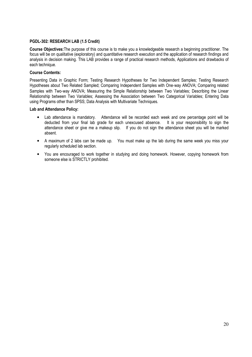#### PGDL-302: RESEARCH LAB (1.5 Credit)

Course Objectives: The purpose of this course is to make you a knowledgeable research a beginning practitioner. The focus will be on qualitative (exploratory) and quantitative research execution and the application of research findings and analysis in decision making. This LAB provides a range of practical research methods. Applications and drawbacks of each technique.

#### **Course Contents:**

Presenting Data in Graphic Form; Testing Research Hypotheses for Two Independent Samples; Testing Research Hypotheses about Two Related Sampled; Comparing Independent Samples with One-way ANOVA; Comparing related Samples with Two-way ANOVA: Measuring the Simple Relationship between Two Variables: Describing the Linear Relationship between Two Variables; Assessing the Association between Two Categorical Variables; Entering Data using Programs other than SPSS; Data Analysis with Multivariate Techniques.

#### Lab and Attendance Policy:

- Attendance will be recorded each week and one percentage point will be • Lab attendance is mandatory. deducted from your final lab grade for each unexcused absence. It is your responsibility to sign the attendance sheet or give me a makeup slip. If you do not sign the attendance sheet you will be marked absent
- A maximum of 2 labs can be made up. You must make up the lab during the same week you miss your reqularly scheduled lab section.
- You are encouraged to work together in studying and doing homework. However, copying homework from someone else is STRICTLY prohibited.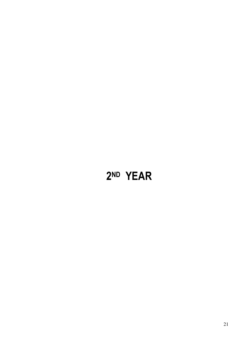# 2ND YEAR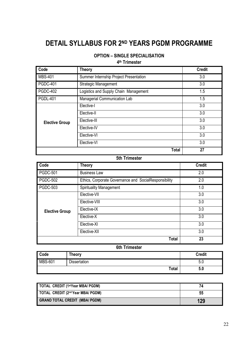# **DETAIL SYLLABUS FOR 2ND YEARS PGDM PROGRAMME**

### **OPTION - SINGLE SPECIALISATION**

#### 4<sup>th</sup> Trimester

| Code                  | <b>Theory</b>                          | <b>Credit</b> |
|-----------------------|----------------------------------------|---------------|
| <b>MBS-401</b>        | Summer Internship Project Presentation | 3.0           |
| <b>PGDC-401</b>       | Strategic Management                   | 3.0           |
| <b>PGDC-402</b>       | Logistics and Supply Chain Management  | 1.5           |
| <b>PGDL-401</b>       | Managerial Communication Lab           | 1.5           |
|                       | Elective-I                             | 3.0           |
|                       | Elective-II                            | 3.0           |
| <b>Elective Group</b> | Elective-III                           | 3.0           |
|                       | Elective-IV                            | 3.0           |
|                       | Elective-VI                            | 3.0           |
|                       | Elective-VI                            | 3.0           |
|                       | <b>Total</b>                           | 27            |

#### 5th Trimester

| Code                  | <b>Theory</b>                                         | <b>Credit</b> |
|-----------------------|-------------------------------------------------------|---------------|
| <b>PGDC-501</b>       | <b>Business Law</b>                                   | 2.0           |
| <b>PGDC-502</b>       | Ethics, Corporate Governance and SocialResponsibility | 2.0           |
| <b>PGDC-503</b>       | <b>Spirituality Management</b>                        | 1.0           |
|                       | Elective-VII                                          | 3.0           |
|                       | Elective-VIII                                         | 3.0           |
| <b>Elective Group</b> | Elective-IX                                           | 3.0           |
|                       | Elective-X                                            | 3.0           |
|                       | Elective-XI                                           | 3.0           |
|                       | Elective-XII                                          | 3.0           |
|                       | <b>Total</b>                                          | 23            |

#### **6th Trimester**

| $\overline{\text{Code}}$ | <b>Theory</b> | <b>Credit</b> |
|--------------------------|---------------|---------------|
| <b>MBS-601</b>           | Dissertation  | -<br>ง.บ      |
|                          | Total         | 5.0           |

| TOTAL CREDIT (1stYear MBA/ PGDM)      |     |
|---------------------------------------|-----|
| TOTAL CREDIT (2nd Year MBA/ PGDM)     | 55  |
| <b>GRAND TOTAL CREDIT (MBA/ PGDM)</b> | 129 |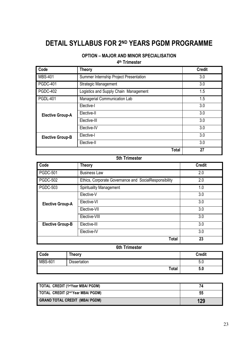# **DETAIL SYLLABUS FOR 2ND YEARS PGDM PROGRAMME**

### **OPTION - MAJOR AND MINOR SPECIALISATION**

4<sup>th</sup> Trimester

| Code                    | <b>Theory</b>                          | <b>Credit</b> |
|-------------------------|----------------------------------------|---------------|
| <b>MBS-401</b>          | Summer Internship Project Presentation | 3.0           |
| <b>PGDC-401</b>         | Strategic Management                   | 3.0           |
| <b>PGDC-402</b>         | Logistics and Supply Chain Management  | 1.5           |
| <b>PGDL-401</b>         | Managerial Communication Lab           | 1.5           |
|                         | Elective-I                             | 3.0           |
| <b>Elective Group-A</b> | Elective-II                            | 3.0           |
|                         | Elective-III                           | 3.0           |
|                         | Elective-IV                            | 3.0           |
| <b>Elective Group-B</b> | Elective-I                             | 3.0           |
|                         | Elective-II                            | 3.0           |
|                         | <b>Total</b>                           | 27            |

#### 5th Trimester

| Code                    | <b>Theory</b>                                         | <b>Credit</b> |
|-------------------------|-------------------------------------------------------|---------------|
| <b>PGDC-501</b>         | <b>Business Law</b>                                   | 2.0           |
| <b>PGDC-502</b>         | Ethics, Corporate Governance and SocialResponsibility | 2.0           |
| <b>PGDC-503</b>         | <b>Spirituality Management</b>                        | 1.0           |
|                         | Elective-V                                            | 3.0           |
| <b>Elective Group-A</b> | Elective-VI                                           | 3.0           |
|                         | Elective-VII                                          | 3.0           |
|                         | Elective-VIII                                         | 3.0           |
| <b>Elective Group-B</b> | Elective-III                                          | 3.0           |
|                         | Elective-IV                                           | 3.0           |
|                         | <b>Total</b>                                          | 23            |

#### **6th Trimester**

| Code           | <b>Theory</b>       | <b>Credit</b> |
|----------------|---------------------|---------------|
| <b>MBS-601</b> | <b>Dissertation</b> | ∽<br>ບ.ບ      |
|                | <b>Total</b>        | 5.0           |

| TOTAL CREDIT (1stYear MBA/ PGDM)      |     |
|---------------------------------------|-----|
| TOTAL CREDIT (2nd Year MBA/ PGDM)     | 55  |
| <b>GRAND TOTAL CREDIT (MBA/ PGDM)</b> | 129 |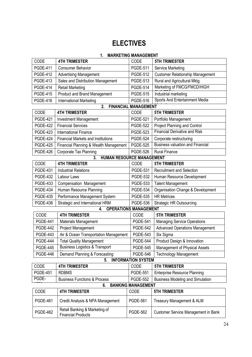# **ELECTIVES**

### 1. MARKETING MANAGEMENT

| CODE            | <b>4TH TRIMESTER</b>                                       | CODE                         | <b>5TH TRIMESTER</b>                    |
|-----------------|------------------------------------------------------------|------------------------------|-----------------------------------------|
| <b>PGDE-411</b> | <b>Consumer Behavior</b>                                   | <b>PGDE-511</b>              | Service Marketing                       |
| <b>PGDE-412</b> | <b>Advertising Management</b>                              | <b>PGDE-512</b>              | <b>Customer Relationship Management</b> |
| <b>PGDE-413</b> | Sales and Distribution Management                          | <b>PGDE-513</b>              | Rural and Agricultural Mktg.            |
| <b>PGDE-414</b> | <b>Retail Marketing</b>                                    | <b>PGDE-514</b>              | Marketing of FMCG/FMCD/HIGH             |
| <b>PGDE-415</b> | <b>Product and Brand Management</b>                        | <b>PGDE-515</b>              | Industrial marketing                    |
| <b>PGDE-416</b> | <b>International Marketing</b>                             | <b>PGDE-516</b>              | Sports And Entertainment Media          |
|                 | 2.                                                         | <b>FINANCIAL MANAGEMENT</b>  |                                         |
| CODE            | <b>4TH TRIMESTER</b>                                       | CODE                         | <b>5TH TRIMESTER</b>                    |
| <b>PGDE-421</b> | Investment Management                                      | <b>PGDE-521</b>              | Portfolio Management                    |
| <b>PGDE-422</b> | <b>Financial Services</b>                                  | <b>PGDE-522</b>              | <b>Project Planning and Control</b>     |
| <b>PGDE-423</b> | <b>International Finance</b>                               | <b>PGDE-523</b>              | <b>Financial Derivative and Risk</b>    |
| <b>PGDE-424</b> | <b>Financial Markets and Institutions</b>                  | <b>PGDE-524</b>              | Corporate restructuring                 |
| <b>PGDE-425</b> | Financial Planning & Wealth Management                     | <b>PGDE-525</b>              | <b>Business valuation and Financial</b> |
| <b>PGDE-426</b> | Corporate Tax Planning                                     | <b>PGDE-526</b>              | <b>Rural Finance</b>                    |
|                 | HUMAN RESOURCE MANAGEMENT<br>3.                            |                              |                                         |
| CODE            | <b>4TH TRIMESTER</b>                                       | CODE                         | <b>5TH TRIMESTER</b>                    |
| <b>PGDE-431</b> | <b>Industrial Relations</b>                                | <b>PGDE-531</b>              | <b>Recruitment and Selection</b>        |
| <b>PGDE-432</b> | Labour Laws                                                | <b>PGDE-532</b>              | Human Resource Development              |
| <b>PGDE-433</b> | Compensation Management                                    | <b>PGDE-533</b>              | <b>Talent Management</b>                |
| <b>PGDE-434</b> | Human Resource Planning                                    | <b>PGDE-534</b>              | Organisation Change & Development       |
| <b>PGDE-435</b> | Performance Management System                              | <b>PGDE-535</b>              | <b>HR Metrices</b>                      |
| <b>PGDE-436</b> | Strategic and International HRM                            | <b>PGDE-536</b>              | <b>Strategic HR Outsourcing</b>         |
|                 | 4.                                                         | <b>OPERATIONS MANAGEMENT</b> |                                         |
| CODE            | <b>4TH TRIMESTER</b>                                       | CODE                         | <b>5TH TRIMESTER</b>                    |
| <b>PGDE-441</b> | Materials Management                                       | <b>PGDE-541</b>              | <b>Managing Service Operations</b>      |
| <b>PGDE-442</b> | Project Management                                         | <b>PGDE-542</b>              | <b>Advanced Operations Management</b>   |
| <b>PGDE-443</b> | Air & Ocean Transportation Management                      | <b>PGDE-543</b>              | Six Sigma                               |
| <b>PGDE-444</b> | <b>Total Quality Management</b>                            | <b>PGDE-544</b>              | Product Design & Innovation             |
| <b>PGDE-445</b> | <b>Business Logistics &amp; Transport</b>                  | <b>PGDE-545</b>              | Management of Physical Assets           |
| <b>PGDE-446</b> | Demand Planning & Forecasting                              | <b>PGDE-546</b>              | <b>Technology Management</b>            |
|                 | 5.                                                         | <b>INFORMATION SYSTEM</b>    |                                         |
| CODE            | <b>4TH TRIMESTER</b>                                       | <b>CODE</b>                  | <b>5TH TRIMESTER</b>                    |
| <b>PGDE-451</b> | <b>RDBMS</b>                                               | <b>PGDE-551</b>              | <b>Enterprise Resource Planning</b>     |
| PGDE-           | <b>Business Functions &amp; Process</b>                    | <b>PGDE-552</b>              | <b>Business Modeling and Simulation</b> |
|                 | 6.                                                         | <b>BANKING MANAGEMENT</b>    |                                         |
| CODE            | <b>4TH TRIMESTER</b>                                       | CODE                         | <b>5TH TRIMESTER</b>                    |
| <b>PGDE-461</b> | Credit Analysis & NPA Management                           | <b>PGDE-561</b>              | Treasury Management & ALM               |
| <b>PGDE-462</b> | Retail Banking & Marketing of<br><b>Financial Products</b> | <b>PGDE-562</b>              | Customer Service Management in Bank     |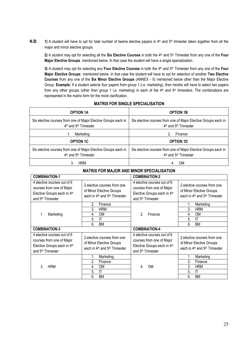$N.B:$ 1) A student will have to opt for total number of twelve elective papers in 4th and 5th trimester taken together from all the major and minor elective groups.

2) A student may opt for selecting all the Six Elective Courses in both the 4th and 5th Trimester from any one of the Four Major Elective Groups mentioned below. In that case the student will have a single specialization.

3) A student may opt for selecting any Four Elective Courses in both the 4<sup>th</sup> and 5<sup>th</sup> Trimester from any one of the Four Major Elective Groups mentioned below. In that case the student will have to opt for selection of another Two Elective Courses from any one of the Six Minor Elective Groups (ANNEX - II) mentioned below other than the Major Elective Group. Example: If a student selects four papers from group 1 (i.e. marketing), then he/she will have to select two papers from any other groups (other than group 1 i.e. marketing) in each of the 4<sup>th</sup> and 5<sup>th</sup> trimesters. The combinations are represented in the matrix form for the more clarification.

| <b>OPTION 1A</b>                                                                                                | <b>OPTION 1B</b>                                                                            |  |
|-----------------------------------------------------------------------------------------------------------------|---------------------------------------------------------------------------------------------|--|
| Six elective courses from one of Major Elective Groups each in<br>$4th$ and $5th$ Trimester                     | Six elective courses from one of Major Elective Groups each in<br>$4th$ and $5th$ Trimester |  |
| Marketing                                                                                                       | Finance<br>2.                                                                               |  |
| <b>OPTION 1C</b>                                                                                                | <b>OPTION 1D</b>                                                                            |  |
| Six elective courses from one of Major Elective Groups each in<br>4 <sup>th</sup> and 5 <sup>th</sup> Trimester | Six elective courses from one of Major Elective Groups each in<br>$4th$ and $5th$ Trimester |  |
| <b>HRM</b>                                                                                                      | OM                                                                                          |  |

#### **MATRIX FOR SINGLE SPECIALISATION**

| MATRIX FOR MAJOR AND MINOR SPECIALISATION                                                                                |                                                                                                                  |                                                                                                                          |                                                                                                                  |  |
|--------------------------------------------------------------------------------------------------------------------------|------------------------------------------------------------------------------------------------------------------|--------------------------------------------------------------------------------------------------------------------------|------------------------------------------------------------------------------------------------------------------|--|
| <b>COMBINATION-1</b>                                                                                                     |                                                                                                                  | <b>COMBINATION-2</b>                                                                                                     |                                                                                                                  |  |
| 4 elective courses out of 6<br>courses from one of Major<br>Elective Groups each in 4th<br>and 5 <sup>th</sup> Trimester | 2 elective courses from one<br>of Minor Elective Groups<br>each in 4 <sup>th</sup> and 5 <sup>th</sup> Trimester | 4 elective courses out of 6<br>courses from one of Major<br>Elective Groups each in 4th<br>and 5 <sup>th</sup> Trimester | 2 elective courses from one<br>of Minor Elective Groups<br>each in 4 <sup>th</sup> and 5 <sup>th</sup> Trimester |  |
| 1.<br>Marketing                                                                                                          | 2.<br>Finance<br>3.<br><b>HRM</b><br><b>OM</b><br>4.<br>5.<br>IT<br>6.<br><b>BM</b>                              | 2<br>Finance                                                                                                             | Marketing<br>1.<br>3.<br><b>HRM</b><br><b>OM</b><br>4.<br>5.<br>IT<br>6.<br>BM                                   |  |
| <b>COMBINATION-3</b>                                                                                                     |                                                                                                                  | <b>COMBINATION-4</b>                                                                                                     |                                                                                                                  |  |
| 4 elective courses out of 6<br>courses from one of Major<br>Elective Groups each in 4th<br>and 5 <sup>th</sup> Trimester | 2 elective courses from one<br>of Minor Elective Groups<br>each in 4 <sup>th</sup> and 5 <sup>th</sup> Trimester | 4 elective courses out of 6<br>courses from one of Major<br>Elective Groups each in 4th<br>and 5 <sup>th</sup> Trimester | 2 elective courses from one<br>of Minor Elective Groups<br>each in 4 <sup>th</sup> and 5 <sup>th</sup> Trimester |  |
| 3.<br><b>HRM</b>                                                                                                         | Marketing<br>1.<br>2.<br>Finance<br><b>OM</b><br>4.<br>5.<br>IT<br>6.<br><b>BM</b>                               | <b>OM</b><br>4.                                                                                                          | Marketing<br>1.<br>2.<br>Finance<br>3.<br><b>HRM</b><br>5.<br>IT<br>6.<br><b>BM</b>                              |  |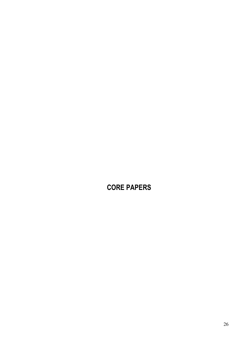# **CORE PAPERS**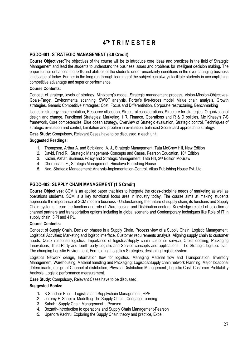# **4TH T R I M E S T E R**

#### PGDC-401: STRATEGIC MANAGEMENT (3.0 Credit)

Course Objectives: The objectives of the course will be to introduce core ideas and practices in the field of Strategic Management and lead the students to understand the business issues and problems for intelligent decision making. The paper further enhances the skills and abilities of the students under uncertainty conditions in the ever changing business landscape of today. Further in the long run through learning of the subject can always facilitate students in accomplishing competitive advantage and superior performance.

#### **Course Contents:**

Concept of strategy, levels of strategy, Mintzberg's model, Strategic management process, Vision-Mission-Objectives-Goals-Target. Environmental scanning. SWOT analysis. Porter's five-forces model. Value chain analysis. Growth strategies. Generic Competitive strategies: Cost, Focus and Differentiation, Corporate restructuring, Benchmarking

Issues in strategy implementation, Resource allocation, Structural considerations, Structure for strategies, Organizational design and change, Functional Strategies: Marketing, HR, Finance, Operations and R & D policies, Mc Kinsey's 7-S framework, Core competencies, Blue ocean strategy, Overview of Strategic evaluation, Strategic control, Techniques of strategic evaluation and control, Limitation and problem in evaluation, balanced Score card approach to strategy.

Case Study: Compulsory, Relevant Cases have to be discussed in each unit.

#### **Suggested Readings:**

- 1. Thompson, Arthur A. and Strickland, A. J., Strategic Management, Tata McGraw Hill, New Edition
- 2. David, Fred R., Strategic Management- Concepts and Cases, Pearson Education, 10<sup>th</sup> Edition
- 3. Kazmi, Azhar, Business Policy and Strategic Management, Tata Hill, 2<sup>nd</sup> Edition McGraw
- 4. Cherunilam, F., Strategic Management, Himalaya Publishing House
- 5. Nag, Strategic Management: Analysis-Implementation-Control, Vikas Publishing House Pvt. Ltd.

#### PGDC-402: SUPPLY CHAIN MANAGEMENT (1.5 Credit)

Course Objectives: SCM is an applied paper that tries to integrate the cross-discipline needs of marketing as well as operations students. SCM is a key functional focus area in industry today. The course aims at making students appreciate the importance of SCM modern business - Understanding the nature of supply chain, its functions and Supply Chain systems. Learn the function and role of Warehousing and Distribution centers. Knowledge related of selection of channel partners and transportation options including in global scenario and Contemporary techniques like Role of IT in supply chain, 3 Pl and 4 PL.

#### **Course Contents:**

Concept of Supply Chain, Decision phases in a Supply Chain, Process view of a Supply Chain, Logistic Management, Logistical Activities; Marketing and logistic interface, Customer reguirements analysis, Aligning supply chain to customer needs: Quick response logistics, Importance of logistics/Supply chain customer service, Cross docking, Packaging Innovations, Third Party and fourth party Logistic and Service concepts and applications.; The Strategic logistics plan, The changing Logistic Environment, Formulating Logistics Strategies, designing Logistic system.

Logistics Network design, Information flow for logistics, Managing Material flow and Transportation, Inventory Management, Warehousing, Material handling and Packaging; Logistics/Supply chain network Planning, Major locational déterminants, design of Channel of distribution, Physical Distribution Management : Logistic Cost, Customer Profitability Analysis, Logistic performance measurement.

Case Study: Compulsory, Relevant Cases have to be discussed.

- 1. K Shridhar Bhat Logistics and Supplychain Management, HPH
- 2. Jeremy F. Shapiro: Modelling The Supply Chain., Cengage Learning.
- 3. Sahah: Supply Chain Management: Pearson
- 4. Bozarth-Introduction to operations and Supply Chain Management-Pearson
- 5. Upendra Kachru: Exploring the Supply Chain theory and practice, Excel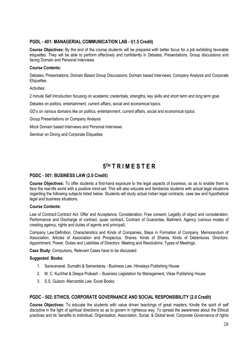#### PGDL - 401: MANAGERIAL COMMUNICATION LAB - I(1.5 Credit)

Course Objectives: By the end of the course students will be prepared with better focus for a job exhibiting favorable etiquettes. They will be able to perform effectively and confidently in Debates. Presentations. Group discussions and facing Domain and Personal Interviews.

#### **Course Contents:**

Debates; Presentations; Domain Based Group Discussions; Domain based Interviews; Company Analysis and Corporate Etiquettes.

Activities:

2 minute Self Introduction focusing on academic credentials, strengths, key skills and short term and long term goal.

Debates on politics, entertainment, current affairs, social and economical topics.

GD's on various domains like on politics, entertainment, current affairs, social and economical topics.

Group Presentations on Company Analysis

Mock Domain based Interviews and Personal Interviews

Seminar on Dining and Corporate Etiquettes

## 5TH TRIMESTER

#### PGDC - 501: BUSINESS LAW (2.0 Credit)

Course Objectives: To offer students a first-hand exposure to the legal aspects of business, so as to enable them to face the real-life world with a positive mind-set. This will also educate and familiarize students with actual legal situations regarding the following subjects listed below. Students will study actual Indian legal contracts, case law and hypothetical legal and business situations.

#### **Course Contents:**

Law of Contract: Contract Act: Offer and Acceptance, Consideration, Free consent, Legality of object and consideration, Performance and Discharge of contract, quasi contract, Contract of Guarantee, Bailment, Agency (various modes of creating agency, rights and duties of agents and principal).

Company Law:Definition, Characteristics and Kinds of Companies, Steps in Formation of Company. Memorandum of Association, Articles of Association and Prospectus. Shares: Kinds of Shares, Kinds of Debentures. Directors: Appointment, Power, Duties and Liabilities of Directors. Meeting and Resolutions: Types of Meetings.

Case Study: Compulsory, Relevant Cases have to be discussed.

#### **Suggested Books:**

- 1. Saravanavel, Sumathi & Samantaray Business Law, Himalaya Publishing House
- 2. M. C. Kuchhal & Deepa Prakash Business Legislation for Management, Vikas Publishing House.
- 3. S.S. Gulson- Marcantile Law, Excel Books.

#### PGDC - 502: ETHICS, CORPORATE GOVERNANCE AND SOCIAL RESPONSIBILITY (2.0 Credit)

Course Objectives: To educate the students with value driven teachings of great masters. Kindle the spirit of self discipline in the light of spiritual directions so as to govern in righteous way. To spread the awareness about the Ethical practices and its' benefits to individual, Organisation, Association, Social, & Global level, Corporate Governance of rights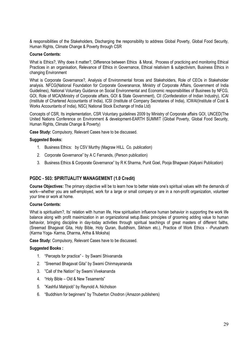& responsibilities of the Stakeholders. Discharging the responsibility to address Global Poverty. Global Food Security. Human Rights, Climate Change & Poverty through CSR

#### **Course Contents:**

What is Ethics?, Why does it matter?, Difference between Ethics & Moral, Process of practicing and monitoring Ethical Practices in an organisation, Relevance of Ethics in Governance, Ethical relativism & subjectivism, Business Ethics in changing Environment

What is Corporate Governance?, Analysis of Environmental forces and Stakeholders, Role of CEOs in Stakeholder analysis. NFCG(National Foundation for Corporate Goveranance, Ministry of Corporate Affairs, Government of India Guidelines), National Voluntary Guidance on Social Environmental and Economic responsibilities of Businees by NFCG, GOI. Role of MCA(Ministry of Corporate affairs, GOI & State Government). CII (Confederation of Indian Industry), ICAI (Institute of Chartered Accountants of India), ICSI (Institute of Company Secretaries of India), ICWAI(Institute of Cost & Works Accountants of India), NSC( National Stock Exchange of India Ltd)

Concepts of CSR, Its implementation, CSR Voluntary quidelines 2009 by Ministry of Corporate affairs GOI, UNCED(The United Nations Conference on Environment & development-EARTH SUMMIT (Global Poverty, Global Food Security, Human Rights, Climate Change & Poverty)

Case Study: Compulsory, Relevant Cases have to be discussed.

#### **Suggested Books:**

- 1. Business Ethics: by CSV Murthy (Magraw HILL Co. publication)
- 2. Corporate Governance" by A C Fernands, (Person publication)
- 3. Business Ethics & Corporate Governance" by R K Sharma, Punit Goel, Pooja Bhagwan (Kalyani Publication)

#### PGDC - 503: SPIRITUALITY MANAGEMENT (1.0 Credit)

Course Objectives: The primary objective will be to learn how to better relate one's spiritual values with the demands of work—whether you are self-employed, work for a large or small company or are in a non-profit organization, volunteer your time or work at home.

#### **Course Contents:**

What is spiritualism?, Its' relation with human life. How spiritualism influence human behavior in supporting the work life balance along with profit maximization in an organizational setup. Basic principles of grooming adding value to human behavior, bringing discipline in day-today activities through spiritual teachings of great masters of different faiths. (Sreemad Bhagavat Gita, Holy Bible, Holy Quran, Buddhism, Sikhism etc.), Practice of Work Ethics - -Purusharth (Karma Yoga- Karma, Dharma, Artha & Moksha)

Case Study: Compulsory, Relevant Cases have to be discussed.

- 1. "Percepts for practice" by Swami Shivananda
- 2. "Sreemad Bhagavat Gita" by Swami Chinmayananda
- 3. "Call of the Nation" by Swami Vivekananda
- 4. "Holy Bible Old & New Tesaments"
- 5. "Kashful Mahjoob" by Reynold A. Nicholson
- 6. "Buddhism for beginners" by Thuberton Chodron (Amazon publishers)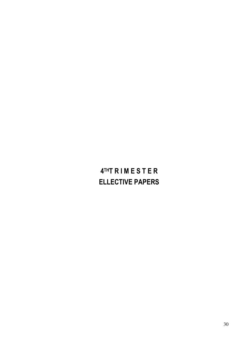# 4THT RIMESTER **ELLECTIVE PAPERS**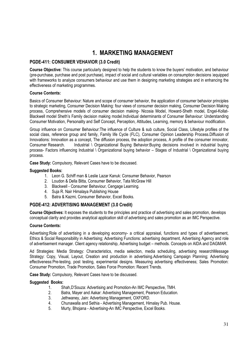# **1. MARKETING MANAGEMENT**

#### PGDE-411: CONSUMER VEHAVIOR (3.0 Credit)

Course Objective: This course particularly designed to help the students to know the buyers' motivation, and behaviour (pre-purchase, purchase and post purchase), impact of social and cultural variables on consumption decisions @quipped with frameworks to analyze consumers behaviour and use them in designing marketing strategies and in enhancing the effectiveness of marketing programmes.

#### **Course Contents:**

Basics of Consumer Behaviour: Nature and scope of consumer behavior, the application of consumer behavior principles to strategic marketing. Consumer Decision Making: four views of consumer decision making. Consumer Decision Making process, Comprehensive models of consumer decision making- Nicosia Model, Howard-Sheth model, Engel-Kollat-Blackwell model Sheth's Family decision making model.Individual determinants of Consumer Behaviour: Understanding Consumer Motivation, Personality and Self Concept, Perception, Attitudes, Learning, memory & behaviour modification.

Group influence on Consumer Behaviour: The influence of Culture & sub culture, Social Class, Lifestyle profiles of the social class, reference group and family, Family life Cycle (FLC), Consumer Opinion Leadership Process.Diffusion of Innovations: Innovation as a concept. The diffusion process, the adoption process, A profile of the consumer innovator, Industrial \ Organizational Buying Behavior: Buying decisions involved in industrial buying Consumer Research. process- Factors influencing Industrial \ Organizational buying behavior – Stages of Industrial \ Organizational buying process.

Case Study: Compulsory, Relevant Cases have to be discussed.

#### **Suggested Books:**

- 1. Leon G. Schiff man & Leslie Lazar Kanuk: Consumer Behavior, Pearson
- 2. Loudon & Della Bitta, Consumer Behavior, Tata McGraw Hill
- 3. Blackwell Consumer Behaviour, Cengage Learning.
- 4. Suja R. Nair Himalaya Publishing House
- 5. Batra & Kazmi, Consumer Behavior, Excel Books.

#### PGDE-412: ADVERTISING MANAGEMENT (3.0 Credit)

Course Objectives: It exposes the students to the principles and practice of advertising and sales promotion, develops conceptual clarity and provides analytical application skill of advertising and sales promotion as an IMC Perspective.

#### **Course Contents:**

Advertising: Role of advertising in a developing economy- a critical appraisal, functions and types of advertisement, Ethics & Social Responsibility in Advertising; Advertising Functions: advertising department, Advertising Agency and role of advertisement manager. Client agency relationship, Advertising budget – methods. Concepts on AIDA and DAGMAR.

Ad Strategies: Media Strategy: Characteristics, media selection, media scheduling, advertising researchMessage Strategy: Copy, Visual, Layout, Creation and production in advertising Advertising Campaign Planning; Advertising effectiveness: Pre-testing, post testing, experimental designs. Measuring advertising effectiveness; Sales Promotion: Consumer Promotion. Trade Promotion. Sales Force Promotion: Recent Trends.

Case Study: Compulsory, Relevant Cases have to be discussed.

- $1.$ Shah.D'Souza: Advertising and Promotion-An IMC Perspective. TMH.
- Batra, Mayer and Aakar: Advertising Management, Pearson Education.  $2.$
- Jethwaney, Jain: Advertising Management, OXFORD.  $\mathcal{S}$
- $4.$ Chunawalla and Sethia - Advertising Management, Himalay Pub. House.
- $5<sub>1</sub>$ Murty, Bhojana - Advertising-An IMC Perspective, Excel Books.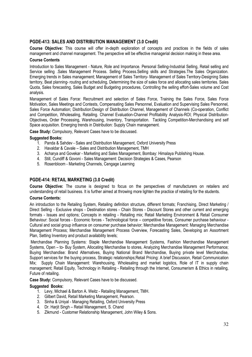#### PGDE-413: SALES AND DISTRIBUTION MANAGEMENT (3.0 Credit)

Course Objective: This course will offer in-depth exploration of concepts and practices in the fields of sales management and channel management. The perspective will be effective managerial decision making in these area.

#### **Course Contents**

Introduction to Sales Management - Nature, Role and Importance. Personal Selling-Industrial Selling, Retail selling and Service selling Sales Management Process. Selling Process. Selling skills and Strategies. The Sales Organization. Emerging trends in Sales management; Management of Sales Territory- Management of Sales Territory-Designing Sales territory. Beat planning- routing and scheduling. Determining the size of sales force and allocating sales territories. Sales Quota, Sales forecasting, Sales Budget and Budgeting procedures, Controlling the selling effort-Sales volume and Cost analysis.

Management of Sales Force: Recruitment and selection of Sales Force, Training the Sales Force, Sales Force Motivation, Sales Meetings and Contests, Compensating Sales Personnel, Evaluation and Supervising Sales Personnel, Sales Force Automation; Distribution:Design of Distribution Channel, Management of Channels (Co-operation, Conflict and Competition, Wholesaling, Retailing. Channel Evaluation-Channel Profitability Analysis-ROI; Physical Distribution-Objectives, Order Processing, Warehousing, Inventory, Transportation. Tackling Competition-Merchandising and self Space acquisition. Emerging trends in Distribution: Supply Chain management.

Case Study: Compulsory, Relevant Cases have to be discussed.

#### **Suggested Books:**

- 1. Panda & Sahdev Sales and Distribution Management, Oxford University Press
- 2. Havaldar & Cavale Sales and Distribution Management. TMH
- 3. Acharya and Govekar Marketing and Sales Management, Bombay: Himalaya Publishing House.
- 4. Still, Cundiff & Govoni Sales Management: Decision Strategies & Cases, Pearson
- 5. Rosenbloom Marketing Channels, Cengage Learning

#### PGDE-414: RETAIL MARKETING (3.0 Credit)

Course Objective: The course is designed to focus on the perspectives of manufacturers on retailers and understanding of retail business. It is further aimed at throwing more lighten the practice of retailing for the students.

#### **Course Contents:**

An introduction to the Retailing System, Retailing definition structure, different formats; Franchising, Direct Marketing / Direct Selling - Exclusive shops - Destination stores - Chain Stores - Discount Stores and other current and emerging formats - Issues and options; Concepts in retailing - Retailing mix; Retail Marketing Environment & Retail Consumer Behaviour: Social forces - Economic forces - Technological force - competitive forces, Consumer purchase behaviour -Cultural and social group influence on consumer purchase behavior: Merchandise Management: Managing Merchandise Management Process; Merchandise Management Process Overview, Forecasting Sales, Developing an Assortment Plan, Setting Inventory and product availability levels;

Merchandise Planning Systems: Staple Merchandise Management Systems, Fashion Merchandise Management Systems, Open - to- Buy System, Allocating Merchandise to stores, Analyzing Merchandise Management Performance; Buying Merchandise: Brand Alternatives, Buying National Brand Merchandise, Buying private level Merchandise, Support services for the buying process, Strategic relationships; Retail Pricing: A brief Discussion, Retail Communication Mix; Supply Chain Management: Warehousing, Wholesaling and market logistics, Role of IT in supply chain management; Retail Equity, Technology in Retailing - Retailing through the Internet, Consumerism & Ethics in retailing, Future of retailing.

Case Study: Compulsory, Relevant Cases have to be discussed.

- 1. Levy, Michael & Barton A. Weitz Retailing Management, TMH.
- 2. Gilbert David, Retail Marketing Management, Pearson.
- 3. Sinha & Uniyal Managing Retailing, Oxford University Press
- 4. Dr. Harjit Singh Retail Management, S. Chand
- 5. Zikmund Customer Relationship Management, John Wiley & Sons.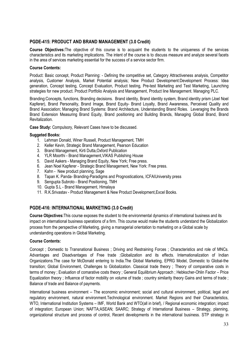#### PGDE-415: PRODUCT AND BRAND MANAGEMENT (3.0 Credit)

Course Objectives: The objective of this course is to acquaint the students to the uniqueness of the services characteristics and its marketing implications. The intent of the course is to discuss measure and analyze several facets in the area of services marketing essential for the success of a service sector firm.

#### **Course Contents:**

Product: Basic concept, Product Planning: - Defining the competitive set, Category Attractiveness analysis, Competitor analysis, Customer Analysis, Market Potential analysis; New Product Development:Development Process: Idea generation, Concept testing, Concept Evaluation, Product testing, Pre-test Marketing and Test Marketing, Launching strategies for new product. Product Portfolio Analysis and Management. Product line Management. Managing PLC.

Branding:Concepts, functions, Branding decisions, Brand identity, Brand identity system, Brand identity prism (Joel Noel) Kapferer), Brand Personality, Brand Image, Brand Equity- Brand Loyalty, Brand Awareness, Perceived Quality and Brand Association; Managing Brand Systems: Brand Architecture, Understanding Brand Roles. Leveraging the Brands Brand Extension Measuring Brand Equity, Brand positioning and Building Brands, Managing Global Brand, Brand Revitalization.

Case Study: Compulsory, Relevant Cases have to be discussed.

#### **Suggeted Books:**

- 1. Lehman Donald, Winer Russell, Product Management, TMH
- 2. Keller Kevin, Strategic Brand Management, Pearson Education
- 3. Brand Management, Kirti Dutta, Oxford Publication
- 4. YLR Moorthi Brand Management VIKAS Publishing House
- 5. David Aakers Managing Brand Equity, New York: Free press.
- 6. Jean Noel Kapferer Strategic Brand Management, New York: Free press.
- 7. Kahn New product planning, Sage
- 8. Tapan K. Panda-Branding-Paradigms and Prognostications, ICFAIUniversity press
- 9. Sengupta Subroto Brand Positioning, TMH
- 10. Gupta S.L Brand Management, Himalaya
- 11. R.K.Srivastav Product Management & New Product Development, Excel Books.

#### PGDE-416: INTERNATIONAL MARKETING (3.0 Credit)

Course Objectives: This course exposes the student to the environmental dynamics of international business and its impact on international business operations of a firm. This course would make the students understand the Globalization process from the perspective of Marketing, giving a managerial orientation to marketing on a Global scale by understanding operations in Global Marketing.

#### **Course Contents:**

Concept : Domestic to Transnational Business : Driving and Restraining Forces : Characteristics and role of MNCs. Advantages and Disadvantages of Free trade ;Globalization and its effects. Internationalization of Indian Organizations. The case for McDonald entering to India. The Global Marketing, EPRG Model, Domestic to Global-the transition: Global Environment. Challenges to Globalization. Classical trade theory: Theory of comparative costs in terms of money: Evaluation of comarative costs theory: General Equilibrium Approach: Hebkscher-Ohlin Factor – Price Equalization theory ; Influence of factor mobility on volume of trade ; country similarity theory Gains and terms of trade ; Balance of trade and Balance of payments.

International business environment - The economic environment; social and cultural environment, political, legal and regulatory environment, natural environment. Technological environment. Market Regions and their Characteristics, WTO, International Institution Systems - IMF, World Bank and WTO(all in brief), / Regional economic integration; impact of integration; European Union; NAFTA;ASEAN; SAARC; Strategy of International Business – Strategy, planning, organizational structure and process of control. Recent developments in the international business. STP strategy in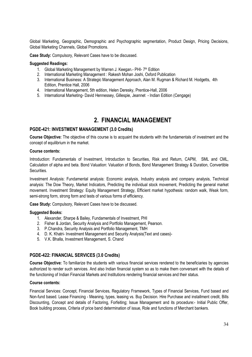Global Marketing, Geographic, Demographic and Psychographic segmentation, Product Design, Pricing Decisions, Global Marketing Channels, Global Promotions,

Case Study: Compulsory, Relevant Cases have to be discussed.

#### **Suggested Readings:**

- 1. Global Marketing Management by Warren J. Keegan.- PHI- 7th Edition
- 2. International Marketing Management: Rakesh Mohan Joshi, Oxford Publication
- 3. International Business: A Strategic Management Approach, Alan M. Rugman & Richard M. Hodgetts, 4th Edition, Prentice Hall, 2006
- 4. International Management, 5th edition, Helen Deresky, Prentice-Hall, 2006
- 5. International Marketing-David Hennessey, Gillespie, Jeannet Indian Edition (Cengage)

### 2. FINANCIAL MANAGEMENT

#### PGDE-421: INVESTMENT MANAGEMENT (3.0 Credits)

Course Objective: The objective of this course is to acquaint the students with the fundamentals of investment and the concept of equilibrium in the market.

#### **Course contents:**

Introduction: Fundamentals of Investment, Introduction to Securities, Risk and Return, CAPM, SML and CML, Calculation of alpha and beta. Bond Valuation: Valuation of Bonds, Bond Management Strategy & Duration, Convertible **Securities** 

Investment Analysis: Fundamental analysis: Economic analysis, Industry analysis and company analysis, Technical analysis: The Dow Theory, Market Indicators, Predicting the individual stock movement, Predicting the general market movement. Investment Strategy: Equity Management Strategy, Efficient market hypothesis: random walk, Weak form, semi-strong form, strong form and tests of various forms of efficiency.

Case Study: Compulsory, Relevant Cases have to be discussed.

#### **Suggested Books:**

- 1. Alexander, Sharpe & Bailey, Fundamentals of Investment, PHI
- 2. Fisher & Jordan, Security Analysis and Portfolio Management, Pearson.
- 3. P.Chandra, Security Analysis and Portfolio Management, TMH
- 4. D. K. Khatri- Investment Management and Security Analysis(Text and cases)-
- 5. V.K. Bhalla, Investment Management, S. Chand

#### PGDE-422: FINANCIAL SERVICES (3.0 Credits)

Course Objective: To familiarize the students with various financial services rendered to the beneficiaries by agencies authorized to render such services. And also Indian financial system so as to make them conversant with the details of the functioning of Indian Financial Markets and Institutions rendering financial services and their status.

#### **Course contents:**

Financial Services: Concept, Financial Services, Regulatory Framework, Types of Financial Services, Fund based and Non-fund based. Lease Financing - Meaning, types, leasing vs. Buy Decision. Hire Purchase and installment credit, Bills Discounting. Concept and details of Factoring. Forfeiting: Issue Management and its procedure:- Initial Public Offer. Book building process, Criteria of price band determination of issue, Role and functions of Merchant bankers.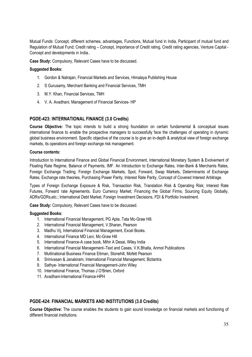Mutual Funds: Concept, different schemes, advantages, Functions, Mutual fund in India, Participant of mutual fund and Regulation of Mutual Fund; Credit rating - Concept, Importance of Credit rating, Credit rating agencies, Venture Capital -Concept and developments in India..

Case Study: Compulsory, Relevant Cases have to be discussed.

#### **Suggested Books:**

- 1. Gordon & Natrajan; Financial Markets and Services, Himalaya Publishing House
- 2. S Gurusamy, Merchant Banking and Financial Services, TMH
- 3. M.Y. Khan. Financial Services. TMH
- 4. V. A. Avadhani, Management of Financial Services-HP

#### PGDE-423: INTERNATIONAL FINANCE (3.0 Credits)

Course Objective: The topic intends to build a strong foundation on certain fundamental & conceptual issues international finance to enable the prospective managers to successfully face the challenges of operating in dynamic global business environment. Specific objective of the course is to give an in-depth & analytical view of foreign exchange markets, its operations and foreign exchange risk management.

#### **Course contents:**

Introduction to International Finance and Global Financial Environment, International Monetary System & Evolvement of Floating Rate Regime, Balance of Payments, IMF. An Introduction to Exchange Rates, Inter-Bank & Merchants Rates, Foreign Exchange Trading, Foreign Exchange Markets, Spot, Forward, Swap Markets, Determinants of Exchange Rates, Exchange rate theories, Purchasing Power Parity, Interest Rate Parity, Concept of Covered Interest Arbitrage.

Types of Foreign Exchange Exposure & Risk, Transaction Risk, Translation Risk & Operating Risk; Interest Rate Futures, Forward rate Agreements. Euro Currency Market: Financing the Global Firms, Sourcing Equity Globally, ADRs/GDRs, etc.; International Debt Market, Foreign Investment Decisions, FDI & Portfolio Investment.

Case Study: Compulsory, Relevant Cases have to be discussed.

#### **Suggested Books:**

- 1. International Financial Management, PG Apte, Tata Mc-Graw Hill.
- 2. International Financial Management, V.Sharan, Pearson
- 3. Madhu Vij, International Financial Management, Excel Books.
- 4. International Finance MD Levi, Mc-Graw Hill
- 5. International Finance-A case book, Mihir A Desai, Wiley India
- 6. International Financial Management-Text and Cases, V.K.Bhalla, Anmol Publications
- 7. Multinational Business Finance Eitman, Stonehill, Mofett Pearson
- 8. Srinivasan & Janakiram, International Financial Management, Biztantra.
- 9. Sathye- International Financial Management-John Wiley
- 10. International Finance, Thomas J O'Brien, Oxford
- 11 Avadhani-International Finance-HPH

#### PGDE-424: FINANCIAL MARKETS AND INSTITUTIONS (3.0 Credits)

Course Objective: The course enables the students to gain sound knowledge on financial markets and functioning of different financial institutions.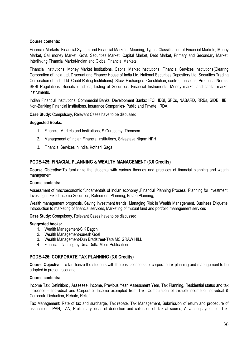#### **Course contents:**

Financial Markets: Financial System and Financial Markets- Meaning, Types, Classification of Financial Markets, Money Market, Call money Market, Govt. Securities Market. Capital Market, Debt Market, Primary and Secondary Market, Interlinking Financial Market-Indian and Global Financial Markets.

Financial Institutions: Money Market Institutions, Capital Market Institutions, Financial Services Institutions(Clearing Corporation of India Ltd, Discount and Finance House of India Ltd, National Securities Depository Ltd, Securities Trading Corporation of India Ltd. Credit Rating Institutions). Stock Exchanges: Constitution, control, functions, Prudential Norms, SEBI Requlations, Sensitive Indices, Listing of Securities. Financial Instruments: Money market and capital market instruments

Indian Financial Institutions: Commercial Banks, Development Banks: IFCI, IDBI, SFCs, NABARD, RRBs, SIDBI, IIBI, Non-Banking Financial Institutions, Insurance Companies- Public and Private, IRDA.

Case Study: Compulsory, Relevant Cases have to be discussed.

#### **Suggested Books:**

- 1. Financial Markets and Institutions, S Gurusamy, Thomson
- 2. Management of Indian Financial institutions, Srivastava, Nigam HPH
- 3. Financial Services in India, Kothari, Saga

#### PGDE-425: FINACIAL PLANNING & WEALTH MANAGEMENT (3.0 Credits)

Course Objective: To familiarize the students with various theories and practices of financial planning and wealth management.

#### **Course contents:**

Assessment of macroeconomic fundamentals of indian economy , Financial Planning Process; Planning for investment, Investing in Fixed Income Securities, Retirement Planning, Estate Planning;

Wealth management prognosis, Saving investment trends, Managing Risk in Wealth Management, Business Etiquette; Introduction to marketing of financial services, Marketing of mutual fund and portfolio management services

Case Study: Compulsory, Relevant Cases have to be discussed.

#### **Suggested books:**

- 1. Wealth Management-S K Bagchi
- 2. Wealth Management-suresh Goel
- 3. Wealth Management-Dun Bradstreet-Tata MC GRAW HILL
- 4. Financial planning by Uma Dutta-Mohit Publication.

#### PGDE-426: CORPORATE TAX PLANNING (3.0 Credits)

Course Objective: To familiarize the students with the basic concepts of corporate tax planning and management to be adopted in present scenario.

#### Course contents:

Income Tax: Definition:, Assessee, Income, Previous Year, Assessment Year, Tax Planning, Residential status and tax incidence – Individual and Corporate, Income exempted from Tax, Computation of taxable income of individual & Corporate.Deduction, Rebate, Relief

Tax Management: Rate of tax and surcharge, Tax rebate, Tax Management, Submission of return and procedure of assessment, PAN, TAN, Preliminary ideas of deduction and collection of Tax at source, Advance payment of Tax,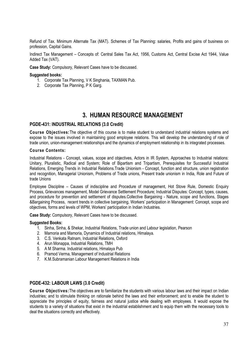Refund of Tax. Minimum Alternate Tax (MAT). Schemes of Tax Planning: salaries. Profits and gains of business on profession, Capital Gains.

Indirect Tax Management - Concepts of: Central Sales Tax Act, 1956, Customs Act, Central Excise Act 1944, Value Added Tax (VAT).

Case Study: Compulsory, Relevant Cases have to be discussed.

#### **Suggested books:**

- 1. Corporate Tax Planning, V K Singhania, TAXMAN Pub.
- 2. Corporate Tax Planning, P K Garg.

### **3. HUMAN RESOURCE MANAGEMENT**

#### PGDE-431: INDUSTRIAL RELATIONS (3.0 Credit)

Course Objectives: The objective of this course is to make student to understand industrial relations systems and expose to the issues involved in maintaining good employee relations. This will develop the understanding of role of trade union, union-management relationships and the dynamics of employment relationship in its integrated processes.

#### **Course Contents:**

Industrial Relations - Concept, values, scope and objectives, Actors in IR System, Approaches to Industrial relations: Unitary, Pluralistic, Radical and System; Role of Bipartism and Tripartism, Prerequisites for Successful Industrial Relations, Emerging Trends in Industrial Relations. Trade Unionism - Concept, function and structure, union registration and recognition, Managerial Unionism, Problems of Trade unions, Present trade unionism in India, Role and Future of trade Unions

Employee Discipline – Causes of indiscipline and Procedure of management, Hot Stove Rule, Domestic Enquiry Process, Grievances management, Model Grievance Settlement Procedure; Industrial Disputes: Concept, types, causes, and procedure for prevention and settlement of disputes.Collective Bargaining - Nature, scope and functions, Stages &Bargaining Process, recent trends in collective bargaining. Workers' participation in Management: Concept, scope and objectives, forms and levels of WPM. Workers' participation in Indian Industries.

Case Study: Compulsory, Relevant Cases have to be discussed.

#### **Suggested Books:**

- 1. Sinha, Sinha, & Shekar, Industrial Relations, Trade union and Labour legislation, Pearson
- 2. Mamoria and Mamoria. Dynamics of Industrial relations. Himalava.
- 3. C.S. Venkata Ratnam, Industrial Relations. Oxford
- 4. Arun Monappa, Industrial Relations, TMH
- 5. A M Sharma, Industrial relations, Himalaya Pub.
- 6. Pramod Verma, Management of Industrial Relations
- 7. K.M. Subramanian Labour Management Relations in India

#### PGDE-432: LABOUR LAWS (3.0 Credit)

Course Objectives: The objectives are to familiarize the students with various labour laws and their impact on Indian industries; and to stimulate thinking on rationale behind the laws and their enforcement; and to enable the student to appreciate the principles of equity, fairness and natural justice while dealing with employees. It would expose the students to a variety of situations that exist in the industrial establishment and to equip them with the necessary tools to deal the situations correctly and effectively.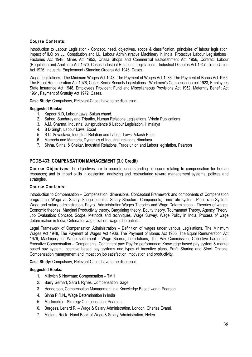#### **Course Contents:**

Introduction to Labour Legislation - Concept, need, objectives, scope & classification, principles of labour legislation, Impact of ILO on LL, Constitution and LL, Labour Administrative Machinery in India, Protective Labour Legislations : Factories Act 1948, Mines Act 1952, Orissa Shops and Commercial Establishment Act 1956, Contract Labour (Regulation and Abolition) Act 1970, Cases.Industrial Relations Legislations - Industrial Disputes Act 1947, Trade Union Act 1926, Industrial Employment (Standing Orders) Act 1946, Cases.

Wage Legislations - The Minimum Wages Act 1948. The Payment of Wages Act 1936. The Payment of Bonus Act 1965. The Equal Remuneration Act 1976, Cases Social Security Legislations - Workmen's Compensation act 1923, Employees State Insurance Act 1948, Employees Provident Fund and Miscellaneous Provisions Act 1952, Maternity Benefit Act 1961. Payment of Gratuity Act 1972. Cases.

Case Study: Compulsory, Relevant Cases have to be discussed.

#### **Suggested Books:**

- 1. Kapoor N.D. Labour Laws. Sultan chand.
- 2. Sahoo, Sundaray and Tripathy, Human Relations Legislations, Vrinda Publications
- 3. A.M. Sharma, Industrial Jurisprudence & Labour Legislation, Himalaya
- 4. B D Singh, Labour Laws, Excell
- 5. S.C. Srivastava, Industrial Relation and Labour Laws- Vikash Pubs
- 6. Mamoria and Mamoria, Dynamics of Industrial relations Himalaya.
- 7. Sinha, Sinha, & Shekar, Industrial Relations, Trade union and Labour legislation, Pearson

#### PGDE-433: COMPENSATION MANAGEMENT (3.0 Credit)

**Course Objectives:** The objectives are to promote understanding of issues relating to compensation for human resources; and to impart skills in designing, analyzing and restructuring reward management systems, policies and strategies.

#### **Course Contents:**

Introduction to Compensation - Compensation, dimensions, Conceptual Framework and components of Compensation programme, Wage vs. Salary; Fringe benefits, Salary Structure, Components, Time rate system, Piece rate System, Wage and salary administration. Payroll Administration. Wages Theories and Wage Determination - Theories of wages: Economic theories, Marginal Productivity theory, Bargaining theory, Equity theory, Tournament Theory, Agency Theory; Job Evaluation: Concept, Scope, Methods and techniques, Wage Survey, Wage Policy in India, Process of wage determination in India, Criteria for wage fixation, wage differentials.

Legal Framework of Compensation Administration - Definition of wages under various Legislations, The Minimum Wages Act 1948, The Payment of Wages Act 1936, The Payment of Bonus Act 1965, The Equal Remuneration Act 1976, Machinery for Wage settlement - Wage Boards, Legislations, The Pay Commission, Collective bargaining. Executive Compensation – Components, Contingent pay: Pay for performance: Knowledge based pay system & market based pay system, Incentive based pay systems and types of incentive plans, Profit Sharing and Stock Options, Compensation management and impact on job satisfaction, motivation and productivity.

Case Study: Compulsory, Relevant Cases have to be discussed.

- 1. Milkvich & Newman: Compensation TMH
- 2. Barry Gerhart, Sara L Rynes, Compensation, Sage
- 3. Henderson, Compensation Management in a Knowledge Based world- Pearson
- 4. Sinha P.R.N., Wage Determination in India
- 5. Martocchio Strategy Compensation, Pearson.
- 6. Bergess, Lenard R. Wage & Salary Administration, London, Charles Evami,
- 7. Micton, Rock. Hand Book of Wage & Salary Administration, Helen.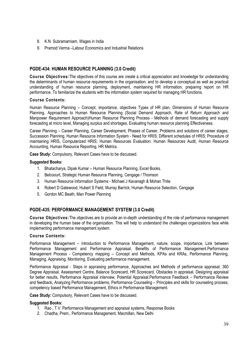- 8. K.N. Subramarniam. Wages in India
- 9. Pramod Verma-Labour Economics and Industrial Relations

#### PGDE-434: HUMAN RESOURCE PLANNING (3.0 Credit)

Course Objectives: The objectives of this course are create a critical appreciation and knowledge for understanding the determinants of human resource requirements in the organisation; and to develop a conceptual as well as practical understanding of human resource planning, deployment, maintaining HR information, preparing report on HR performance. To familiarize the students with the information system required for managing HR functions.

#### **Course Contents:**

Human Resource Planning – Concept, importance, objectives Types of HR plan, Dimensions of Human Resource Planning, Approaches to Human Resource Planning (Social Demand Approach, Rate of Return Approach and Mannower Requirement Approach)Human Resource Planning Process - Methods of demand forecasting and supply forecasting at micro level, Managing surplus and shortages, Evaluating human resource planning Effectiveness.

Career Planning – Career Planning, Career Development, Phases of Career, Problems and solutions of career stages, Succession Planning, Human Resource Information System - Need for HRIS; Different schedules of HRIS; Procedure of maintaining HRIS, Computerized HRIS; Human Resources Evaluation: Human Resources Audit, Human Resource Accounting, Human Resource Reporting, HR Metrics.

Case Study: Compulsory, Relevant Cases have to be discussed.

#### **Suggested Books:**

- 1. Bhatacharya, Dipak Kumar Human Resource Planning, Excel Books.
- 2. Belcoourt, Strategic Human Resource Planning, Cengage / Thomson
- 3. Human Resource Information Systems Michael J Kavanagh & Mohan Thite
- 4. Robert D Gatewood, Hubert S Field, Murray Barrick, Human Resource Selection, Cengage
- 5. Gordon MC Beath, Man Power Planning

#### PGDE-435: PERFORMANCE MANAGEMENT SYSTEM (3.0 Credit)

Course Objectives: The objectives are to provide an in-depth understanding of the role of performance management in developing the human base of the organization. This will help to understand the challenges organizations face while implementing performance management system.

#### **Course Contents:**

Performance Management – Introduction to Performance Management, nature, scope, importance, Link between Performance Management and Performance Appraisal, Benefits of Performance Management.Performance Management Process - Competency mapping – Concept and Methods, KPAs and KRAs, Performance Planning, Managing, Appraising, Monitoring, Evaluating performance management.

Performance Appraisal - Steps in appraising performance. Approaches and Methods of performance appraisal. 360 Degree Appraisal, Assessment Centre, Balance Scorecard, HR Scorecard, Obstacles in appraisal, Designing appraisal for better results. Performance Appraisal interview. Potential Appraisal.Performance Feedback – Performance Review and feedback, Analyzing Performance problems, Performance Counseling – Principles and skills for counseling process; competency based Performance Management, Ethics in Performance Management.

Case Study: Compulsory, Relevant Cases have to be discussed.

- 1. Rao, T.V. Performance Management and appraisal systems, Response Books
- 2. Chadha, Prem., Performance Management, Macmillan, New Delhi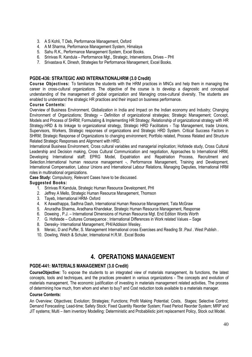- 3. A S Kohli, T Deb. Performance Management, Oxford
- 4. A M Sharma, Performance Management System, Himalaya
- 5. Sahu R.K., Performance Management System, Excel Books.
- 6. Srinivas R. Kandula Performance Mgt., Strategic, Interventions, Drives PHI
- 7. Srivastava K. Dinesh, Strategies for Performance Management, Excel Books.

#### PGDE-436: STRATEGIC AND INTERNATIONALHRM (3.0 Credit)

Course Objectives: To familiarize the students with the HRM practices in MNCs and help them in managing the career in cross-cultural organizations. The objective of the course is to develop a diagnostic and conceptual understanding of the management of global organization and Managing cross-cultural diversity. The students are enabled to understand the strategic HR practices and their impact on business performance.

#### **Course Contents:**

Overview of Business Environment, Globalization in India and Impact on the Indian economy and Industry; Changing Environment of Organizations; Strategy - Definition of organizational strategies; Strategic Management; Concept, Models and Process of SHRM: Formulating & Implementing HR Strategy: Relationship of organizational strategy with HR Strategy.HRD & its linkage to organizational strategy, Strategic HRD Facilitators - Top Management, trade Unions, Supervisors, Workers, Strategic responses of organizations and Strategic HRD System. Critical Success Factors in SHRM; Strategic Response of Organizations to changing environment; Portfolio related, Process Related and Structure Related Strategic Responses and Alignment with HRD.

International Business Environment, Cross cultural variables and managerial implication: Hofstede study, Cross Cultural Leadership and Decision making, Cross Cultural Communication and negotiation, Approaches to International HRM, Developing International staff; EPRG Model, Expatriation and Repatriation Process, Recruitment and Selection.International human resource management -, Performance Management, Training and Development, International Compensation, Labour Unions and International Labour Relations, Managing Deputies, International HRM roles in multinational organizations.

Case Study: Compulsory, Relevant Cases have to be discussed.

#### **Suggested Books:**

- 1. Srinivas R Kandula, Strategic Human Resource Development, PHI
- 2. Jeffrey A Mello, Strategic Human Resource Management, Thomson
- 3. Tayeb, International HRM-Oxford
- 4. K Aswathappa, Sadhna Dash, International Human Resource Management, Tata McGraw
- 5. Anuradha Sharma, Aradhana Khandekar, Strategic Human Resource Management, Response
- 6. Doweing, P.J. International Dimensions of Human Resource Mgt. End Edition Words Worth
- 7. G. Hofstede Cultures Consequence ; International Differences in Work related Values Sage
- 8. Deresky- International Management, PHI/Addision Wesley.
- 9. Meraic, D and Puffer, S. Management International cross Exercises and Reading St .Paul . West Publish.
- 10. Dowling, Welch & Schuler, International H.R.M. Excel Books

### **4. OPERATIONS MANAGEMENT**

#### PGDE-441: MATERIALS MANAGEMENT (3.0 Credit)

CourseObiective: To expose the students to an integrated view of materials management, its functions, the latest concepts, tools and techniques, and the practices prevalent in various organizations - The concepts and evolution of materials management. The economic justification of investing in materials management related activities. The process of determining how much, from whom and when to buy? and Cost reduction tools available to a materials manager.

#### **Course Contents:**

An Overview; Objectives; Evolution; Strategies; Functions; Profit Making Potential; Costs, Stages; Selective Control; Demand Forecasting; Lead-time; Safety Stock; Fixed Quantity Reorder System; Fixed Period Reorder System; MRP and JIT systems; Multi – item inventory Modelling: Deterministic and Probabilistic joint replacement Policy, Stock out Model.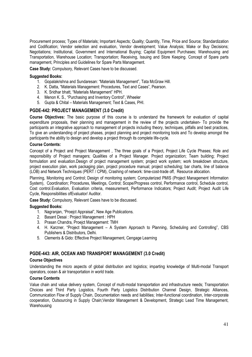Procurement process: Types of Materials: Important Aspects: Quality: Quantity, Time, Price and Source: Standardization and Codification; Vendor selection and evaluation, Vendor development; Value Analysis; Make or Buy Decisions; Negotiations; Institutional, Government and International Buying; Capital Equipment Purchases; Warehousing and Transportation, Warehouse Location; Transportation; Receiving, Issuing and Store Keeping. Concept of Spare parts management, Principles and Guidelines for Spare Parts Management.

Case Study: Compulsory, Relevant Cases have to be discussed.

#### **Suggested Books:**

- 1. Gopalakrishna and Sundaresan: "Materials Management", Tata McGraw Hill.
- 2. K. Datta, "Materials Management: Procedures, Text and Cases", Pearson.
- 3. K. Sridhar bhatt, "Materials Management" HPH.
- 4. Menon K. S., "Purchasing and Inventory Control", Wheeler
- 5. Gupta & Chital Materials Management: Text & Cases, PHI.

#### PGDE-442: PROJECT MANAGEMENT (3.0 Credit)

Course Objectives: The basic purpose of this course is to understand the framework for evaluation of capital expenditure proposals, their planning and management in the review of the projects undertaken- To provide the participants an integrative approach to management of projects including theory, techniques, pitfalls and best practices, To give an understanding of project phases, project planning and project monitoring tools and To develop amongst the participants the ability to design and develop a project through its complete life-cycle.

#### **Course Contents:**

Concept of a Project and Project Management, The three goals of a Project, Project Life Cycle Phases; Role and responsibility of Project managers: Qualities of a Project Manager. Project organization: Team building: Project formulation and evaluation. Design of project management system; project work system; work breakdown structure, project execution plan, work packaging plan, project procedure manual; project scheduling; bar charts, line of balance (LOB) and Network Techniques (PERT / CPM), Crashing of network: time-cost-trade off, Resource allocation.

Planning, Monitoring and Control; Design of monitoring system; Computerized PMIS (Project Management Information System), Coordination; Procedures, Meetings, Control; Scope/Progress control, Performance control, Schedule control, Cost control. Evaluation, Evaluation criteria, measurement, Performance Indicators; Project Audit; Project Audit Life Cycle, Responsibilities of Evaluator/ Auditor.

Case Study: Compulsory, Relevant Cases have to be discussed.

#### **Suggested Books:**

- 1. Nagranjan, "Proejct Appraisal", New Age Publications.
- 2. Basant Desai: Project Management: HPH
- 3. Prasan Chandra, Proejct Management: TMH
- 4. H. Karzner, "Project Management A System Approach to Planning, Scheduling and Controlling", CBS Publishers & Distributors, Delhi.
- 5. Clements & Gido: Effective Project Management, Cengage Learning

#### PGDE-443: AIR, OCEAN AND TRANSPORT MANAGEMENT (3.0 Credit)

#### **Course Objectives**

Understanding the micro aspects of global distribution and logistics; imparting knowledge of Multi-modal Transport operators, ocean & air transportation in world trade.

#### **Course Contents**

Value chain and value delivery system, Concept of multi-modal transportation and infrastructure needs; Transportation Choices and Third Party Logistics. Fourth Party Logistics Distribution Channel Design, Strategic Alliances, Communication Flow of Supply Chain, Documentation needs and liabilities; Inter-functional coordination, Inter-corporate cooperation, Outsourcing in Supply Chain; Vendor Management & Development, Strategic Lead Time Management, Warehousing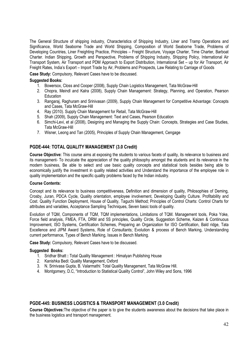The General Structure of shipping industry. Characteristics of Shipping Industry. Liner and Tramp Operations and Significance, World Seaborne Trade and World Shipping, Composition of World Seaborne Trade, Problems of Developing Countries, Liner Freighting Practice, Principles - Freight Structure, Voyage Charter, Time Charter, Barboat Charter, Indian Shipping, Growth and Perspective, Problems of Shipping Industry, Shipping Policy, International Air Transport System, Air Transport and PDM Approach to Export Distribution, International Set - up for Air Transport, Air Freight Rates, India's Export - Import Trade by Air, Problems and Prospects, Law Relating to Carriage of Goods

Case Study: Compulsory, Relevant Cases have to be discussed.

#### **Suggested Books:**

- 1. Bowersox, Closs and Cooper (2008), Supply Chain Logistics Management, Tata McGraw-Hill
- 2. Chopra, Meindl and Kalra (2008), Supply Chain Management: Strategy, Planning, and Operation, Pearson **Education**
- 3. Rangarai, Raghuram and Sriniyasan (2009), Supply Chain Management for Competitive Advantage: Concepts and Cases, Tata McGraw-Hill
- 4. Ray (2010). Supply Chain Management for Retail, Tata McGraw-Hill
- 5. Shah (2009), Supply Chain Management: Text and Cases, Pearson Education
- 6. Simchi-Levi, et al (2008), Designing and Managing the Supply Chain: Concepts, Strategies and Case Studies, Tata McGraw-Hill
- 7. Wisner, Leong and Tan (2005), Principles of Supply Chain Management, Cengage

#### PGDE-444: TOTAL QUALITY MANAGEMENT (3.0 Credit)

Course Objective: This course aims at exposing the students to various facets of quality, its relevance to business and its management- To inculcate the appreciation of the quality philosophy amongst the students and its relevance in the modern business. Be able to select and use basic quality concepts and statistical tools besides being able to economically justify the investment in quality related activities and Understand the importance of the employee role in quality implementation and the specific quality problems faced by the Indian industry.

#### **Course Contents:**

Concept and its relevance to business competitiveness, Definition and dimension of quality, Philosophies of Deming, Crosby, Juran, PDCA Cycle, Quality orientation, employee involvement. Developing Quality Culture, Profitability and Cost. Quality Function Deployment, House of Quality, Taguchi Method; Principles of Control Charts: Control Charts for attributes and variables, Acceptance Sampling Techniques, Seven basic tools of quality.

Evolution of TQM, Components of TQM, TQM implementations, Limitations of TQM. Management tools, Poka Yoke, Force field analysis, FMEA, FTA, DRM and 5S principles, Quality Circle, Suggestion Scheme, Kaizen & Continuous Improvement, ISO Systems, Certification Schemes, Preparing an Organization for ISO Certification, Bald ridge, Tata Excellence and JIPM Award Systems. Role of Consultants: Evolution & process of Bench Marking. Understanding current performance, Types of Bench Marking, Issues in Bench Marking.

Case Study: Compulsory, Relevant Cases have to be discussed.

#### **Suggested Books:**

- 1. Sridhar Bhatt: Total Quality Management: Himalyan Publishing House
- 2. Kanishka Bedi: Quality Management, Oxford
- 3. N. Srinivasa Gupta, B. Valarmathi: Total Quality Management, Tata McGraw Hill.
- 4. Montgomery, D.C. "Introduction to Statistical Quality Control", John Wiley and Sons, 1996

#### PGDE-445: BUSINESS LOGISTICS & TRANSPORT MANAGEMENT (3.0 Credit)

Course Objectives: The objective of the paper is to give the students awareness about the decisions that take place in the business logistics and transport management.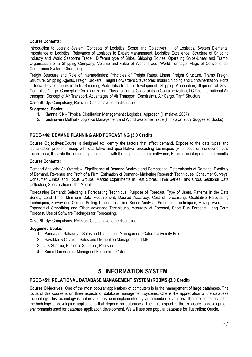#### **Course Contents:**

Introduction to Logistic System: Concepts of Logistics, Scope and Objectives of Logistics, System Elements, Importance of Logistics, Relevance of Logistics to Expert Management, Logistics Excellence; Structure of Shipping Industry and World Seaborne Trade: Different type of Ships. Shipping Routes. Operating Ships-Linear and Tramp. Organization of a Shipping Company; Volume and value of World Trade, World Tonnage, Flags of Convenience, Conference System, Chartering.

Freight Structure and Role of Intermediaries: Principles of Freight Rates, Linear Freight Structure, Tramp Freight Structure, Shipping Agents, Freight Brokers, Freight Forwarders Stevedores; Indian Shipping and Containerization, Ports in India, Developments in India Shipping, Ports Infrastructure Development, Shipping Association, Shipment of Govt. Controlled Cargo. Concept of Containerization, Classification of Constraints in Containerization, I.C.D's; International Air transport: Concept of Air Transport, Advantages of Air Transport, Constraints, Air Cargo, Tariff Structure.

Case Study: Compulsory, Relevant Cases have to be discussed.

#### **Suggested Books:**

- 1. Khanna K K Physical Distribution Management : Logistical Approach (Himalaya, 2007)
- 2. Krishnaveni Muthiah- Logistics Management and World Seaborne Trade (Himalaya, 2007 Suggested Books)

#### PGDE-446: DEMAND PLANNING AND FORCASTING (3.0 Credit)

Course Objectives: Course is designed to: Identify the factors that affect demand. Expose to the data types and identification problem. Equip with qualitative and quantitative forecasting techniques (with focus on noneconometric techniques). Illustrate the forecasting techniques with the help of computer softwares. Enable the interpretation of results

#### **Course Contents:**

Demand Analysis: An Overview, Significance of Demand Analysis and Forecasting, Determinants of Demand, Elasticity of Demand, Revenue and Profit of a Firm; Estimation of Demand- Marketing Research Techniques, Consumer Surveys, Consumer Clinics and Focus Groups, Market Experiments in Test Stores, Time Series and Cross Sectional Data Collection. Specification of the Model.

Forecasting Demand: Selecting a Forecasting Technique, Purpose of Forecast, Type of Users, Patterns in the Data Series, Lead Time, Minimum Data Requirement. Desired Accuracy, Cost of forecasting, Qualitative Forecasting Techniques, Survey and Opinion Polling Techniques, Time Series Analysis, Smoothing Techniques, Moving Averages, Exponential Smoothing and Other Advanced Techniques, Accuracy of Forecast, Short Run Forecast, Long Term Forecast, Use of Software Packages for Forecasting.

Case Study: Compulsory, Relevant Cases have to be discussed.

#### **Suggested Books:**

- 1. Panda and Sahadev Sales and Distribution Management, Oxford University Press
- 2. Havaldar & Cavale Sales and Distribution Management, TMH
- 3. J K Sharma, Business Statistics, Pearson
- 4. Suma Damodaran, Managerial Economics, Oxford

### **5. INFORMATION SYSTEM**

#### PGDE-451: RELATIONAL DATABASE MANAGEMENT SYSTEM (RDBMS)(3.0 Credit)

Course Objectives: One of the most popular applications of computers is in the management of large databases. The focus of this course is on three aspects of database management systems. One is the appreciation of the database technology. This technology is mature and has been implemented by large number of vendors. The second aspect is the methodology of developing applications that depend on databases. The third aspect is the exposure to development environments used for database application development. We will use one popular database for illustration: Oracle.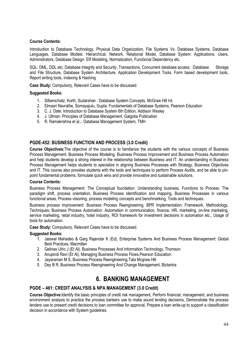#### **Course Contents:**

Introduction to Database Technology, Physical Data Organization, File Systems Vs. Database Systems, Database Languages, Database Models: Hierarchical, Network, Relational Model, Database System: Applications, Users, Administrators, Database Design: ER Modeling, Normalization, Functional Dependency etc.

SQL: DML, DDL etc; Database Integrity and Security , Transactions, Concurrent database access; Database Storage and File Structure. Database System Architecture. Application Development Tools. Form based development tools. Report writing tools. Indexing & Hashing

Case Study: Compulsory, Relevant Cases have to be discussed.

#### **Suggested Books:**

- 1. Silberschatz, Korth, Sudarshan: Database System Concepts, McGraw Hill Int.
- 2. Elmasri Navrathe, Somayajulu, Gupta: Fundamentals of Database Systems, Pearson Education
- 3. C. J. Date: Introduction to Database System 6th Edition, Addison Wesley
- 4. J. Ullman: Principles of Database Management, Galgotia Publication
- 5. R. Ramakrishna et al..: Database Management System, TMH

#### **PGDE-452: BUSINESS FUNCTION AND PROCESS (3.0 Credit)**

Course Objectives: The objective of the course is to familiarize the students with the various concepts of Business Process Management: Business Process Modeling, Business Process Improvement and Business Process Automation and help students develop a strong interest in the relationship between Business and IT. An understanding in Business Process Management helps students to specialize in aligning Business Processes with Strategy, Business Objectives and IT. This course also provides students with the tools and techniques to perform Process Audits, and be able to pinpoint fundamental problems, formulate quick wins and provide innovative and sustainable solutions.

#### **Course Contents:**

Business Process Management: The Conceptual foundation: Understanding business, Functions to Process; The paradigm shift, process orientation. Business Process identification and mapping. Business Processes in various functional areas; Process visioning, process modeling concepts and benchmarking, Tools and techniques.

Business process improvement: Business Process Reengineering, BPR Implementation: Framework, Methodology, Techniques; Business Process Automation: Automation in communication, finance, HR, marketing, on-line marketing, service marketing, retail industry, hotel industry, ROI framework for investment decisions in automation etc., Usage of tools for automation.

Case Study: Compulsory, Relevant Cases have to be discussed.

#### **Suggested Books:**

- 1. Jaiswal Mahadeo & Garg Rajendar K (Ed), Enterprise Systems And Business Process Management: Global Best Practices, Macmillan
- 2. Gelinas Ulric J (Et AI), Business Processes And Information Technology, Thomson
- 3. Anupindi Ravi (Et AI), Managing Business Process Flows, Pearson Education.
- 4. Jayaraman M S, Business Process Reengineering, Tata Mcgraw Hill
- 5. Dey B R, Business Process Reengineering And Change Management, Biztantra

### **6. BANKING MANAGEMENT**

#### PGDE - 461: CREDIT ANALYSIS & NPA MANAGEMENT (3.0 Credit)

Course Objective: Identify the basic principles of credit risk management, Perform financial, management, and business environment analysis to practice the process bankers use to make sound lending decisions. Demonstrate the process lenders use to present credit decisions to loan committee for approval. Prepare a loan write-up to support a classification decision in accordance with System quidelines.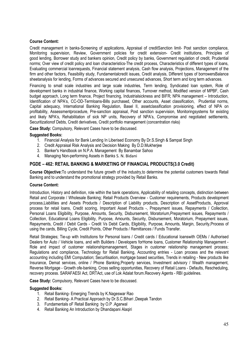#### **Course Content:**

Credit management in banks-Screening of applications, Appraisal of creditSanction limit- Post sanction compliance, Monitoring supervision, Review, Government policies for credit extension- Credit institutions, Principles of good lending. Borrower study and bankers opinion. Credit policy by banks. Government regulation of credit. Prudential norms; Over view of credit policy and loan characteristics-The credit process, Characteristics of different types of loans, Evaluating commercial loanrequests, Financial statement analysis, Cash flow analysis, Projections, Management of the firm and other factors, Feasibility study, Fundamentalcredit issues, Credit analysis, Different types of borrowersBalance sheetanalysis for lending, Forms of advances secured and unsecured advances. Short term and long term advances.

Financing to small scale industries and large scale industries, Term lending, Syndicated Ioan system, Role of development banks in industrial finance, Working capital finances, Turnover method, Modified version of MPBF, Cash budget approach, Long term finance, Project financing, Industrialsickness and BIFR; NPA management - Introduction, Identification of NPA's, CC-OD-Termloans-Bills purchased. Other accounts, Asset classification. Prudential norms, Capital adequacy, International Banking Regulation, Basel II, assetclassification provisioning, effect of NPA on profitability. Assessmentprocedure. Pre-sanction appraisal. Post sanction supervision. Monitoringsystems for existing and likely NPA's, Rehabilitation of sick NP units, Recovery of NPA's, Compromise and negotiated settlements, Securitization of Debts, Credit derivatives, Credit portfolio management (concentration risks)

Case Study: Compulsory, Relevant Cases have to be discussed.

#### **Suggested Books:**

- 1. Financial Analysis for Bank Lending In Liberised Economy By Dr.S.Singh & Sampat Singh
- 2. Credit Appraisal Risk Analysis and Decision Making By D.D.Mukherjee
- 3. Banker's Handbook on N.P.A. Management By Banambar Sahoo
- 4. Managing Non-performing Assets in Banks S. N. Bidani

#### PGDE - 462: RETAIL BANKING & MARKETING OF FINANCIAL PRODUCTS(3.0 Credit)

Course Objective: To understand the future growth of the industry, to determine the potential customers towards Retail Banking and to understand the promotional strategy provided by Retail Banks.

#### **Course Content:**

Introduction, History and definition, role within the bank operations, Applicability of retailing concepts, distinction between Retail and Corporate / Wholesale Banking; Retail Products Overview - Customer requirements, Products development process.Liabilities and Assets Products / Description of Liability products. Description of AssetProducts. Approval process for retail loans, Credit scoring, Important Asset Products -, Prepayment issues. Repayments / Collection. Personal Loans Eligibility, Purpose, Amounts, Security, Disbursement, Moratorium, Prepayment issues, Repayments / Collection, Educational Loans Eligibility, Purpose, Amounts, Security, Disbursement, Moratorium, Prepayment issues, Repayments, Credit / Debit Cards - Credit Vs Debit Cards, Eligibility, Purpose, Amounts, Margin, Security, Process of using the cards, Billing Cycle, Credit Points, Other Products / Remittances / Funds Transfer.

Retail Strategies: Tie-up with Institutions for Personal Ioans / Credit cards / Educational Ioanswith OEMs / Authorised Dealers for Auto / Vehicle Ioans, and with Builders / Developers forHome Ioans, Customer Relationship Management -Role and impact of customer relationshipmanagement, Stages in customer relationship management process; Regulations and compliance, Technology for Retail Banking, Accounting entries - Loan process and the relevant accounting including EMI Computation; Securitisation, mortgage based securities, Trends in retailing - New products like Insurance. Demat services, online / Phone Banking. Property services, Investment advisory / Wealth management. Reverse Mortgage - Growth ofe-banking, Cross selling opportunities, Recovery of Retail Loans - Defaults, Rescheduling, recovery process. SARAFAESI Act. DRTAct. use of Lok Adalat forum. Recovery Agents - RBI quidelines.

Case Study: Compulsory. Relevant Cases have to be discussed.

- 1. Retail Banking- Emerging Trends by K. Nageswar Rao
- 2. Retail Banking- A Practical Approach by Dr.S.C.Bihari, Deepak Tandon
- 3. Fundamentals of Retail Banking by O.P. Agarwal
- 4. Retail Banking An Introduction by Dhandapani Alagiri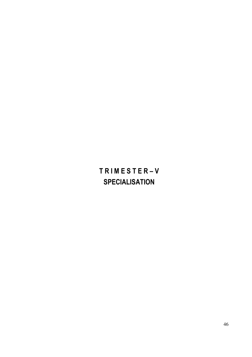# TRIMESTER-V **SPECIALISATION**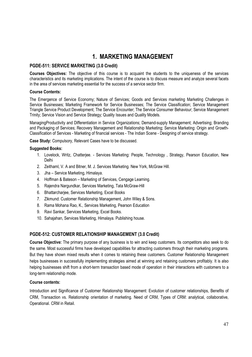### **1. MARKETING MANAGEMENT**

#### PGDE-511: SERVICE MARKETING (3.0 Credit)

Courses Objectives: The objective of this course is to acquaint the students to the uniqueness of the services characteristics and its marketing implications. The intent of the course is to discuss measure and analyze several facets in the area of services marketing essential for the success of a service sector firm.

#### **Course Contents:**

The Emergence of Service Economy; Nature of Services; Goods and Services marketing Marketing Challenges in Service Businesses; Marketing Framework for Service Businesses; The Service Classification; Service Management Triangle Service Product Development: The Service Encounter: The Service Consumer Behaviour: Service Management Trinity; Service Vision and Service Strategy; Quality Issues and Quality Models.

ManagingProductivity and Differentiation in Service Organizations; Demand-supply Management; Advertising; Branding and Packaging of Services: Recovery Management and Relationship Marketing: Service Marketing: Origin and Growth-Classification of Services - Marketing of financial services - The Indian Scene - Designing of service strategy.

Case Study: Compulsory, Relevant Cases have to be discussed.

#### **Suggested Books:**

- 1. Lovelock, Writz, Chatterjee. Services Marketing: People, Technology, Strategy, Pearson Education, New Delhi
- 2. Zeithaml, V. A and Bitner, M. J. Services Marketing. New York, McGraw Hill.
- 3. Jha Service Marketing, Himalaya.
- 4. Hoffman & Bateson Marketing of Services, Cengage Learning.
- 5. Rajendra Nargundkar, Services Marketing, Tata McGraw-Hill
- 6. Bhattarcharjee, Services Marketing, Excel Books
- 7. Zikmund: Customer Relationship Management, John Wiley & Sons.
- 8. Rama Mohana Rao, K., Services Marketing, Pearson Education
- 9. Ravi Sankar, Services Marketing, Excel Books.
- 10. Sahajahan, Services Marketing, Himalaya. Publishing house.

#### PGDE-512: CUSTOMER RELATIONSHIP MANAGEMENT (3.0 Credit)

Course Objective: The primary purpose of any business is to win and keep customers. Its competitors also seek to do the same. Most successful firms have developed capabilities for attracting customers through their marketing programs. But they have shown mixed results when it comes to retaining these customers. Customer Relationship Management helps businesses in successfully implementing strategies aimed at winning and retaining customers profitably. It is also helping businesses shift from a short-term transaction based mode of operation in their interactions with customers to a long-term relationship mode.

#### **Course contents:**

Introduction and Significance of Customer Relationship Management: Evolution of customer relationships, Benefits of CRM, Transaction vs. Relationship orientation of marketing. Need of CRM, Types of CRM: analytical, collaborative, Operational, CRM in Retail.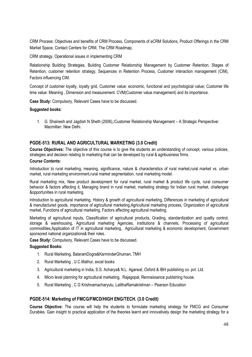CRM Process: Objectives and benefits of CRM Process. Components of eCRM Solutions. Product Offerings in the CRM Market Space, Contact Centers for CRM, The CRM Roadmap,

CRM strategy, Operational issues in implementing CRM

Relationship Building Strategies, Building Customer Relationship Management by Customer Retention, Stages of Retention, customer retention strategy, Sequences in Retention Process, Customer interaction management (CIM), Factors influencing CIM.

Concept of customer loyalty, loyalty grid, Customer value: economic, functional and psychological value; Customer life time value: Meaning, Dimension and measurement, CVM(Customer value management) and its importance.

Case Study: Compulsory, Relevant Cases have to be discussed.

#### Suggested books:

1. G. Shainesh and Jagdish N Sheth (2006). Qustomer Relationship Management - A Strategic PerspectiveQ Macmillan: New Delhi.

#### PGDE-513: RURAL AND AGRICULTURAL MARKETING (3.0 Credit)

**Course Objectives:** The objective of this course is to give the students an understanding of concept, various policies, strategies and decision relating to marketing that can be developed by rural & agribusiness firms.

#### **Course Contents:**

Introduction to rural marketing, meaning, significance, nature & characteristics of rural market, rural market vs. urban market, rural marketing environment, rural market segmentation, rural marketing model.

Rural marketing mix, New product development for rural market, rural market & product life cycle, rural consumer behavior & factors affecting it. Managing brand in rural market, marketing strategy for Indian rural market, challenges &opportunities in rural marketing.

Introduction to agricultural marketing, History & growth of agricultural marketing, Differences in marketing of agricultural & manufactured goods, importance of agricultural marketing, Agricultural marketing process, Organization of agricultural market, Functions of agricultural marketing, Factors affecting agricultural marketing.

Marketing of agricultural inputs, Classification of agricultural products, Grading, standardization and quality control, storage & warehousing, Agricultural marketing Agencies, institutions & channels, Processing of agricultural commodities, Application of IT in agricultural marketing, Agricultural marketing & economic development, Government sponsored national organizations& their roles.

Case Study: Compulsory, Relevant Cases have to be discussed.

#### **Suggested Books:**

- 1. Rural Marketing, BalaramDogra&KarminderGhuman, TMH
- 2. Rural Marketing, U.C.Mathur, excel books
- 3. Agricultural marketing in India, S.S. Acharya& N.L. Agarwal, Oxford & IBH publishing co. pvt. Ltd.
- 4. Micro level planning for agricultural marketing, Rajagopal, Rennaissance publishing house.
- 5. Rural Marketing, C G Krishnamacharyulu, LalithaRamakrishnan Pearson Education

#### PGDE-514: Marketing of FMCG/FMCD/HIGH ENG/TECH. (3.0 Credit)

Course Objective: The course will help the students to formulate marketing strategy for FMCG and Consumer Durables. Gain insight to practical application of the theories learnt and innovatively design the marketing strategy for a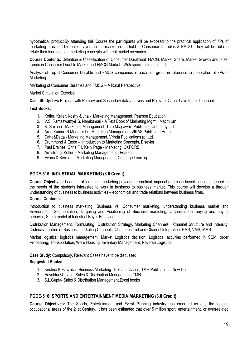hypothetical product. By attending this Course the participants will be exposed to the practical application of 7Ps of marketing practiced by major players in the market in the field of Consumer Durables & FMCG. They will be able to relate their learnings on marketing concepts with real market scenarios

Course Contents: Definition & Classification of Consumer Durables& FMCG. Market Share, Market Growth and latest trends in Consumer Durable Market and FMCG Market - With specific stress to India.

Analysis of Top 3 Consumer Durable and FMCG companies in each sub group in reference to application of 7Ps of Marketing.

Marketing of Consumer Durables and FMCG - A Rural Perspective.

#### **Market Simulation Exercise**

Case Study: Live Projects with Primary and Secondary data analysis and Relevant Cases have to be discussed.

#### **Text Books:**

- 1. Kotler, Keller, Koshy & Jha Marketing Management, Pearson Education
- 2. V.S. Ramaswamy& S. Namkumari A Text Book of Marketing Mgmt., Macmillan
- 3. R. Saxena Marketing Management, Tata Mcgrawhill Publishing Company Ltd.
- 4. Arun Kumar, N Meenakshi Marketing Management, VIKAS Publishing House
- 5. Datta&Datta Marketing Management, Vrinda Publications (p) Ltd.
- 6. Drummond & Ensor Introduction to Marketing Concepts, Elsevier.
- 7. Paul Braines, Chris Fill, Kelly Page Marketing, OXFORD
- 8. Armstrong, Kotler Marketing Management, Pearson
- 9. Evans & Berman Marketing Management, Cengage Learning.

#### PGDE-515: INDUSTRIAL MARKETING (3.0 Credit)

Course Objectives: Learning of Industrial marketing provides theoretical, imperial and case based concepts geared to the needs of the students interested to work in business to business market. This course will develop a through understanding of business to business activities – economical and trade relations between business firms.

#### **Course Contents:**

Introduction to business marketing, Business vs. Consumer marketing, understanding business market and Environment. Segmentation. Targeting and Positioning of Business marketing. Organisational buying and buying behavior. Sheth model of Industrial Buver Behaviour

Distribution Management, Formulating Distribution Strategy, Marketing Channels, Channel Structure and Intensity, Distinctive nature of Business marketing Channels, Chanel conflict and Channel Integration: HMS, VMS, MMS,

Market logistics: logistics management, Market Logistics decision: Logistical activities performed in SCM, order Processing, Transportation, Ware Housing, Inventory Management, Reverse Logistics.

Case Study: Compulsory, Relevant Cases have to be discussed.

#### **Suggested Books:**

- 1. Krishna K Havaldar, Business Marketing: Text and Cases, TMH Publications, New Delhi.
- 2. Havaldar&Cavale, Sales & Distribution Management, TMH
- 3. S.L.Gupta-Sales & Distribution Management, Excel books

#### PGDE-516: SPORTS AND ENTERTAINMENT MEDIA MARKETING (3.0 Credit)

Course Objectives: The Sports, Entertainment and Event Planning industry has emerged as one the leading occupational areas of the 21st Century. It has been estimated that over 5 million sport, entertainment, or even-related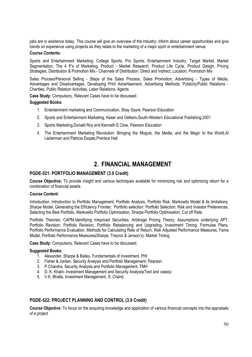jobs are in existence today. This course will give an overview of the industry: inform about career opportunities and give hands on experience using projects as they relate to the marketing of a major sport or entertainment venue.

#### **Course Contents:**

Sports and Entertainment Marketing: College Sports, Pro Sports, Entertainment Industry, Target Market, Market Segmentation, The 4 P's of Marketing, Product - Market Research, Product Life Cycle, Product Design, Pricing Strategies, Distribution & Promotion Mix - Channels of Distribution: Direct and Indirect, Location, Promotion Mix

Sales Process/Personal Selling - Steps of the Sales Process, Sales Promotion; Advertising - Types of Media, Advantages and Disadvantages, Developing Print Advertisement, Advertising Methods; Publicity/Public Relations -Charities, Public Relation Activities, Labor Relations, Agents

Case Study: Compulsory, Relevant Cases have to be discussed.

#### **Suggested Books:**

- 1. Entertainment marketing and Communication, Shay Sayre, Pearson Education
- 2. Sports and Entertainment Marketing, Kaser and Oelkers, South-Western Educational Publishing, 2001
- 3. Sports Marketing, Donald Roy and Kenneth E.Clow, Pearson Education
- 4. The Entertainment Marketing Revolution: Bringing the Moguls, the Media, and the Magic to the World.Al Lieberman and Patricia Esgate, Prentice Hall.

### 2. FINANCIAL MANAGEMENT

#### PGDE-521: PORTFOLIO MANAGEMENT (3.0 Credit)

Course Objective: To provide insight and various techniques available for minimizing risk and optimizing return for a combination of financial assets.

#### Course Content:

Introduction: Introduction to Portfolio Management, Portfolio Analysis, Portfolio Risk, Markowitz Model & its limitations, Sharpe Model, Generating the Efficiency Frontier: Portfolio selection: Portfolio Selection, Risk and Investor Preferences. Selecting the Best Portfolio, Markowitz Portfolio Optimisation, Sharpe Portfolio Optimisation, Cut off Rate,

Portfolio Theories: CAPM, Identifying mispriced Securities, Arbitrage Pricing Theory, Assumptions underlying APT, Portfolio Revision: Portfolio Revision, Portfolio Rebalancing and Upgrading, Investment Timing, Formulae Plans, Portfolio Performance Evaluation, Methods for Calculating Rate of Return, Risk Adjusted Performance Measures, Fama Model, Portfolio Performance Measures(Sharpe, Treynor & Jenson's), Market Timing.

Case Study: Compulsory, Relevant Cases have to be discussed.

#### **Suggested Books:**

- 1. Alexander, Sharpe & Bailey, Fundamentals of Investment, PHI
- 2. Fisher & Jordan, Security Analysis and Portfolio Management, Pearson.
- 3. P.Chandra, Security Analysis and Portfolio Management, TMH
- 4. D. K. Khatri- Investment Management and Security Analysis (Text and cases)-
- 5. V.K. Bhalla, Investment Management, S. Chand

#### PGDE-522: PROJECT PLANNING AND CONTROL (3.0 Credit)

Course Objective: To focus on the acquiring knowledge and application of various financial concepts into the appraisals of a project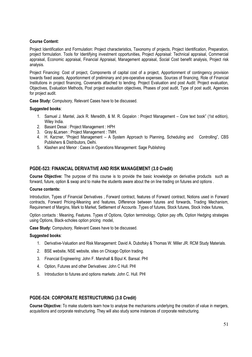#### **Course Content:**

Project Identification and Formulation: Project characteristics, Taxonomy of projects, Project Identification, Preparation, project formulation. Tools for Identifying investment opportunities, Project Appraisal: Technical appraisal, Commercial appraisal, Economic appraisal, Financial Appraisal, Management appraisal, Social Cost benefit analysis, Project risk analysis.

Project Financing: Cost of project. Components of capital cost of a project. Apportionment of contingency provision towards fixed assets, Apportionment of preliminary and pre-operative expenses. Sources of financing, Role of Financial Institutions in project financing, Covenants attached to lending. Project Evaluation and post Audit: Project evaluation, Objectives, Evaluation Methods, Post project evaluation objectives, Phases of post audit, Type of post audit, Agencies for project audit.

Case Study: Compulsory, Relevant Cases have to be discussed.

#### Suggested books:

- 1. Samuel J. Mantel, Jack R. Meredith, & M. R. Gopalon: Project Management Core text book" (1st edition), Wiley India.
- 2. Basant Desai : Project Management : HPH
- 3. Gray & Larsen: Project Management: TMH.
- 4. H. Karzner, "Project Management A System Approach to Planning, Scheduling and Controlling", CBS Publishers & Distributors, Delhi.
- 5. Klashen and Menor: Cases in Operations Management: Sage Publishing

#### PGDE-523: FINANCIAL DERIVATIVE AND RISK MANAGEMENT (3.0 Credit)

Course Objective: The purpose of this course is to provide the basic knowledge on derivative products such as forward, future, option & swap and to make the students aware about the on line trading on futures and options.

#### **Course contents:**

Introduction, Types of Financial Derivatives, Forward contract, features of Forward contract, Notions used in Forward contracts. Forward Pricing-Meaning and features. Difference between futures and forwards. Trading Mechanism. Requirement of Margins, Mark to Market, Settlement of Accounts . Types of futures, Stock futures, Stock Index futures,

Option contacts : Meaning, Features. Types of Options, Option terminology, Option pay offs, Option Hedging strategies using Options, Black-scholes option pricing model,

Case Study: Compulsory, Relevant Cases have to be discussed.

#### Suggested books:

- 1. Derivative-Valuation and Risk Management: David A. Dubofsky & Thomas W. Miller JR. RCM Study Materials.
- 2. BSE website. NSE website, sites on Chicago Option trading.
- 3. Financial Engineering: John F. Marshall & Bipul K. Bansal. PHI
- 4. Option, Futures and other Derivatives: John C Hull. PHI
- 5. Introduction to futures and options markets: John C. Hull. PHI

#### PGDE-524: CORPORATE RESTRUCTURING (3.0 Credit)

Course Objective: To make students learn how to analyse the mechanisms underlying the creation of value in mergers, acquisitions and corporate restructuring. They will also study some instances of corporate restructuring.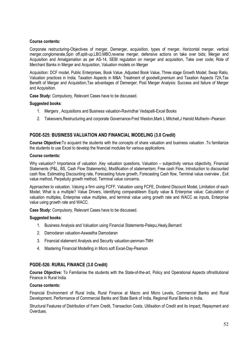#### **Course contents:**

Corporate restructuring-Objectives of merger, Demerger, acquisition, types of merger, Horizontal merger. vertical merger.conglomerate.Spin off.split-up.LBO.MBO.reverse merger, defensive actions on take over bids; Merger and Acquisition and Amalgamation as per AS-14, SEBI regulation on merger and acquisition. Take over code: Role of Merchant Banks in Merger and Acquisition, Valuation models on Merger

Acquisition: DCF model, Public Enterprises, Book Value, Adjusted Book Value, Three stage Growth Model: Swap Ratio, Valuation practices in India: Taxation Aspects in M&A: Treatment of goodwill.premium and Taxation Aspects 72A.Tax Benefit of Merger and Acquisition, Tax advantages of Demerger; Post Merger Analysis: Success and failure of Merger and Acquisition.

Case Study: Compulsory. Relevant Cases have to be discussed.

#### Suggested books:

- 1. Mergers, Acquisitions and Business valuation-Ravindhar Vedapalli-Excel Books
- 2. Takeovers, Restructuring.and corporate Governance-Fred Weston, Mark L Mitchell, J Harold Mulherin--Pearson

#### PGDE-525: BUSINESS VALUATION AND FINANCIAL MODELING (3.0 Credit)

Course Objective: To acquaint the students with the concepts of share valuation and business valuation . To familiarize the students to use Excel to develop the financial modules for various applications.

#### **Course contents:**

Why valuation? Importance of valuation , Key valuation questions, Valuation - subjectivity versus objectivity, Financial Statements (P&L, BS, Cash Flow Statements), Modification of statementsm; Free cash Flow, Introduction to discounted cash flow, Estimating Discounting rate, Forecasting future growth, Forecasting Cash flow, Terminal value overview, Exit value method, Perpetuity growth method, Terminal value concerns.

Approaches to valuation, Valuing a firm using FCFF, Valuation using FCFE, Dividend Discount Model, Limitation of each Model; What is a multiple? Value Drivers, Identifying comparablesm Equity value & Enterprise value; Calculation of valuation multiples, Enterprise value multiples, and terminal value using growth rate and WACC as inputs, Enterprise value using growth rate and WACC.

Case Study: Compulsory, Relevant Cases have to be discussed.

#### Suggested books:

- 1. Business Analysis and Valuation using Financial Statements-Palepu, Healy, Bernard
- 2. Damodaran valuation-Aswastha Damodaran
- 3. Financial statement Analysis and Security valuation-penman-TMH
- 4. Mastering Financial Modelling in Micro soft Excel-Day-Pearson

#### PGDE-526: RURAL FINANCE (3.0 Credit)

Course Objective: To Familiarise the students with the State-of-the-art, Policy and Operational Aspects of Institutional Finance in Rural India

#### **Course contents:**

Financial Environment of Rural India, Rural Finance at Macro and Micro Levels, Commercial Banks and Rural Development, Performance of Commercial Banks and State Bank of India, Regional Rural Banks in India.

Structural Features of Distribution of Farm Credit. Transaction Costs. Utilisation of Credit and its Impact. Repayment and Overdues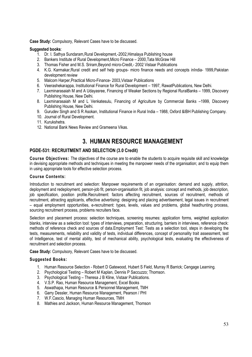Case Study: Compulsory, Relevant Cases have to be discussed.

#### **Suggested books:**

- 1. Dr. I. Sathya Sundaram, Rural Development, -2002, Himalaya Publishing house
- 2. Bankers Institute of Rural Development, Micro Finance 2000, Tata McGraw Hill
- 3. Thomas Fisher and M.S. Sriram, Beyond micro-Credit, 2002 Vistaar Publications
- 4. K.G. Karmakar, Rural credit and self help groups- micro finance needs and concepts inIndia- 1999, Pakistan development review
- 5. Malcom Harper, Practical Micro-Finance- 2003, Vistaar Publications
- 6. Veerashekarappa, Institutional Finance for Rural Development 1997, RawatPublications, New Delhi.
- 7. Laxminarasaiah M and A Udayasree, Financing of Weaker Sections by Regional RuralBanks 1999, Discovery Publishing House, New Delhi.
- 8. Laxminarasaiah M and L Venkatesulu. Financing of Agriculture by Commercial Banks -1999. Discovery Publishing House, New Delhi.
- 9. Gurudev Singh and S R Asokan, Institutional Finance in Rural India 1988, Oxford &IBH Publishing Company.
- 10. Journal of Rural Development.
- 11. Kurukshetra.
- 12. National Bank News Review and Grameena Vikas.

### 3. HUMAN RESOURCE MANAGEMENT

#### PGDE-531: RECRUITMENT AND SELECTION (3.0 Credit)

Course Objectives: The objectives of the course are to enable the students to acquire requisite skill and knowledge in devising appropriate methods and techniques in meeting the manpower needs of the organisation; and to equip them in using appropriate tools for effective selection process.

#### **Course Contents:**

Introduction to recruitment and selection: Manpower requirements of an organisation: demand and supply, attrition, deployment and redeployment, person-job fit, person-organisation fit, job analysis: concept and methods, job description, job specification, position profile.Recruitment: factors affecting recruitment, sources of recruitment, methods of recruitment, attracting applicants, effective advertising; designing and placing advertisement, legal issues in recruitment - equal employment opportunities, e-recruitment: types, levels, values and problems, global headhunting process, sourcing recruitment process, problems recruiters face.

Selection and placement process: selection techniques, screening resumes; application forms, weighted application blanks, interview as a selection tool: types of interviews, preparation, structuring, barriers in interviews, reference check: methods of reference check and sources of data. Employment Test: Tests as a selection tool, steps in developing the tests, measurements, reliability and validity of tests, individual differences, concept of personality trait assessment, test of Intelligence, test of mental ability, test of mechanical ability, psychological tests, evaluating the effectiveness of recruitment and selection process.

Case Study: Compulsory, Relevant Cases have to be discussed.

- 1. Human Resource Selection Robert D Gatewood, Hubert S Field, Murray R Barrick; Cengage Learning.
- 2. Psychological Testing Robert M Kaplan, Dennis P Saccuzzo: Thomson.
- 3. Psychological Testing Theresa J B Kline, Vistaar Publications.
- 4. V.S.P. Rao, Human Resource Management, Excel Books
- 5. Aswathapa. Human Resource & Personnel Management. TMH
- 6. Garry Dessler, Human Resource Management, Pearson / PHI
- 7. W.F.Cascio, Managing Human Resources, TMH
- 8. Mathies and Jackson, Human Resource Management, Thomson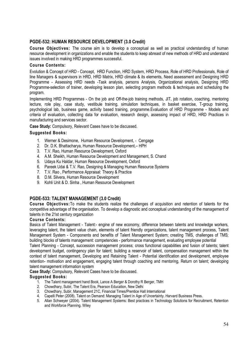#### PGDE-532: HUMAN RESOURCE DEVELOPMENT (3.0 Credit)

Course Objectives: The course aim is to develop a conceptual as well as practical understanding of human resource development in organizations and enable the students to keep abreast of new methods of HRD and understand issues involved in making HRD programmes successful.

#### **Course Contents:**

Evolution & Concept of HRD - Concept, HRD Function, HRD System, HRD Process, Role of HRD Professionals, Role of line Managers & supervisors in HRD, HRD Matrix, HRD climate & its elements, Need assessment and Designing HRD Programme - Assessing HRD needs -Task analysis, persons Analysis, Organizational analysis, Designing HRD Programme-selection of trainer, developing lesson plan, selecting program methods & techniques and scheduling the program.

Implementing HRD Programmes - On the job and Off-the-job training methods, JIT, job rotation, coaching, mentoring lecture, role play, case study, vestibule training, simulation techniques, in basket exercise, T-group training, psychological lab, business game, activity based training, programme. Evaluation of HRD Programme - Models and criteria of evaluation, collecting data for evaluation, research design, assessing impact of HRD, HRD Practices in manufacturing and services sector.

Case Study: Compulsory, Relevant Cases have to be discussed.

#### **Suggested Books:**

- 1. Werner & Desimone, Human Resource Development, Cengage
- 2. Dr. D.K. Bhattacharya, Human Resource Development,- HPH
- 3. T.V. Rao. Human Resource Development. Oxford
- 4. A.M. Sheikh, Human Resource Development and Management, S. Chand
- 5. Udaya Ku Haldar, Human Resource Development, Oxford
- 6. Pareek Udai & T.V. Rao, Designing & Managing Human Resource Systems
- 7. T.V. Rao, Performance Appraisal: Theory & Practice
- 8. D.M. Silvera. Human Resource Development
- 9. Kohli Unit & D. Sinha, Human Resource Development

#### PGDE-533: TALENT MANAGEMENT (3.0 Credit)

Course Objectives: To make the students realize the challenges of acquisition and retention of talents for the competitive advantage of the organisation. To develop a diagnostic and conceptual understanding of the management of talents in the 21st century organization

#### **Course Contents:**

Basics of Talent Management - Talent:- engine of new economy, difference between talents and knowledge workers, leveraging talent, the talent value chain, elements of talent friendly organizations, talent management process. Talent Management System - Components and benefits of Talent Management System; creating TMS, challenges of TMS; building blocks of talents management: competencies - performance management, evaluating employee potential

Talent Planning - Concept, succession management process; cross functional capabilities and fusion of talents; talent development budget, contingency plan for talent; building a reservoir of talent, compensation management within the context of talent management. Developing and Retaining Talent - Potential identification and development, employee retention- motivation and engagement, engaging talent through coaching and mentoring, Return on talent; developing talent management information system

Case Study: Compulsory, Relevant Cases have to be discussed.

- 1. The Talent management hand Book, Lance A Berger & Dorothy R Berger, TMH
- 2. Chowdhary, Subir, The Talent Era, Pearson Education, New Delhi
- 3. Chowdhary, Subir, Management 21C, Financial Times/Prentice Hall International
- 4. Capelli Peter (2008). Talent on Demand: Managing Talent in Age of Uncertainty. Harvard Business Press.
- 5. Allan Schweyer (2004). Talent Management Systems: Best practices in Technology Solutions for Recruitment, Retention and Workforce Planning. Wiley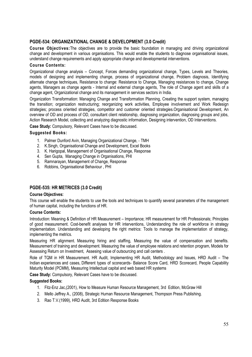#### PGDE-534: ORGANIZATIONAL CHANGE & DEVELOPMENT (3.0 Credit)

Course Objectives: The objectives are to provide the basic foundation in managing and driving organizational change and development in various organisations. This would enable the students to diagnose organisational issues, understand change requirements and apply appropriate change and developmental interventions.

#### **Course Contents:**

Organizational change analysis – Concept, Forces demanding organizational change, Types, Levels and Theories, models of designing and implementing change, process of organizational change. Problem diagnosis, Identifying alternate change techniques. Resistance to change: Resistance to Change, Managing resistances to change, Change agents, Managers as change agents - Internal and external change agents. The role of Change agent and skills of a change agent. Organizational change and its management in services sectors in India.

Organization Transformation: Managing Change and Transformation Planning, Creating the support system, managing the transition; organization restructuring; reorganizing work activities, Employee involvement and Work Redesign strategies; process oriented strategies, competitor and customer oriented strategies. Organisational Development, An overview of OD and process of OD, consultant client relationship, diagnosing organization, diagnosing groups and jobs, Action Research Model, collecting and analyzing diagnostic information, Designing intervention, OD Interventions.

Case Study: Compulsory, Relevant Cases have to be discussed.

#### **Suggested Books:**

- 1. Palmer Dunford Avin, Managing Organizational Change, TMH
- 2. K.Singh, Organisational Change and Development, Excel Books
- 3. K. Harigopal. Management of Organisational Change. Response
- 4. Sen Gupta, Managing Change in Organisations, PHI
- 5. Ramnarayan, Management of Change, Response
- 6. Robbins, Organisational Behaviour, PHI

#### PGDE-535: HR METRICES (3.0 Credit)

#### **Course Objectives:**

This course will enable the students to use the tools and techniques to quantify several parameters of the management of human capital, including the functions of HR.

#### **Course Contents:**

Introduction: Meaning & Definition of HR Measurement – Importance: HR measurement for HR Professionals: Principles of good measurement. Cost-benefit analyses for HR interventions, Understanding the role of workforce in strategy implementation. Understanding and developing the right metrics: Tools to manage the implementation of strategy, implementing the metrics.

Measuring HR alignment. Measuring hiring and staffing, Measuring the value of compensation and benefits. Measurement of training and development. Measuring the value of employee relations and retention program, Models for Assessing Return on Investment. Assesing value of outsourcing and call centers.

Role of TQM in HR Measurement. HR Audit, Implementing HR Audit, Methodology and Issues, HRD Audit - The Indian experiences and cases, Different types of scorecards-Balance Score Card, HRD Scorecard, People Capability Maturity Model (PCMM), Measuring Intellectual capital and web based HR systems

Case Study: Compulsory, Relevant Cases have to be discussed.

- 1. Fitz-Enz Jac, (2001), How to Measure Human Resource Management, 3rd Edition, McGraw Hill
- 2. Mello Jeffrey A., (2008), Strategic Human Resource Management, Thompson Press Publishing.
- 3. Rao T.V.(1999), HRD Audit, 3rd Edition Response Books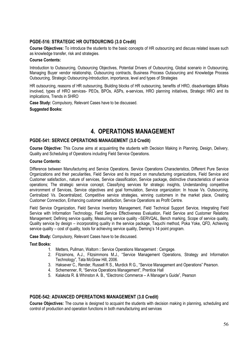#### PGDE-516: STRATEGIC HR OUTSOURCING (3.0 Credit)

Course Objectives: To introduce the students to the basic concepts of HR outsourcing and discuss related issues such as knowledge transfer, risk and strategies.

#### **Course Contents:**

Introduction to Outsourcing, Outsourcing Objectives, Potential Drivers of Outsourcing, Global scenario in Outsourcing, Managing Buver vendor relationship. Outsourcing contracts. Business Process Outsourcing and Knowledge Process Outsourcing, Strategic Outsourcing-Introduction, importance, level and types of Strategies

HR outsourcing, reasons of HR outsourcing, Biulding blocks of HR outsourcing, benefits of HRO, disadvantages & Risks involved, types of HRO services- PEOs. BPOs. ASPs, e-services. HRO planning initiatives. Strategic HRO and its implications. Trends in SHRO

Case Study: Compulsory, Relevant Cases have to be discussed.

#### **Suggested Books:**

## **4. OPERATIONS MANAGEMENT**

#### PGDE-541: SERVICE OPERATIONS MANAGEMENT (3.0 Credit)

Course Objective: This Course aims at acquainting the students with Decision Making in Planning, Design, Delivery, Quality and Scheduling of Operations including Field Service Operations.

#### **Course Contents:**

Difference between Manufacturing and Service Operations. Service Operations Characteristics. Different Pure Service Organizations and their peculiarities. Field Service and its impact on manufacturing organizations. Field Service and Customer satisfaction., nature of services, Service classification, Service package, distinctive characteristics of service operations; The strategic service concept, Classifying services for strategic insights, Understanding competitive environment of Services, Service objectives and goal formulation, Service organization: In house Vs. Outsourcing, Centralized Vs. Decentralized, Competitive service strategies, winning customers in the market place, Creating Customer Connection, Enhancing customer satisfaction, Service Operations as Profit Centre.

Field Service Organization, Field Service Inventory Management, Field Technical Support Service, Integrating Field Service with Information Technology, Field Service Effectiveness Evaluation, Field Service and Customer Relations Management; Defining service quality, Measuring service quality -SERVQAL, Bench marking, Scope of service quality, Quality service by design – incorporating quality in the service package, Taguchi method, Poka Yoke, QFD, Achieving service quality – cost of quality, tools for achieving service quality, Deming's 14 point program.

Case Study: Compulsory, Relevant Cases have to be discussed.

#### **Text Books:**

- 1. Metters. Pullman. Waltorn: Service Operations Management: Cengage.
- 2. Fitzsimons, A.J., Fitzsimmons M.J., "Service Management Operations, Strategy and Information Technology", Tata McGraw Hill, 2006.
- 3. Haksever C., Render, Russell R S., Murdick R G., "Service Management and Operations" Pearson.
- 4. Schemenner, R. "Service Operations Management", Prentice Hall
- 5. Kalakota R. & Whinston A. B., "Electronic Commerce A Manager's Guide", Pearson

#### PGDE-542: ADVANCED OPEREATIONS MANAGEMENT (3.0 Credit)

Course Objectives: The course is designed to acquaint the students with decision making in planning, scheduling and control of production and operation functions in both manufacturing and services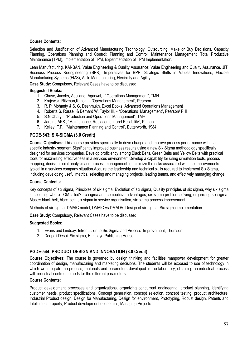#### **Course Contents:**

Selection and Justification of Advanced Manufacturing Technology, Outsourcing, Make or Buy Decisions, Capacity Planning, Operations Planning and Control: Planning and Control: Maintenance Management. Total Productive Maintenance (TPM), Implementation of TPM, Experimentation of TPM Implementation.

Lean Manufacturing, KANBAN, Value Engineering & Quality Assurance: Value Engineering and Quality Assurance. JIT, Business Process Reengineering (BPR). Imperatives for BPR. Strategic Shifts in Values Innovations. Flexible Manufacturing Systems (FMS), Agile Manufacturing, Flexibility and Agility,

Case Study: Compulsory, Relevant Cases have to be discussed.

#### **Suggested Books:**

- 1. Chase, Jacobs, Aguilano, Agarwal, "Operations Management", TMH
- 2. Kraiewski. Ritzman. Kansal. "Operations Management". Pearson
- 3. R. P. Mohanty & S. G. Deshmukh, Excel Books, Advanced Operations Management
- 4. Roberta S. Russell & Bernard W. Taylor III, "Operations Management", Pearson/ PHI
- 5. S.N.Chary, "Production and Operations Management", TMH
- 6. Jardine AKS., "Maintenance, Replacement and Reliability", Pitman.
- 7. Kelley, F.P., "Maintenance Planning and Control", Butterworth, 1984

#### PGDE-543: SIX-SIGMA (3.0 Credit)

Course Objectives: This course provides specifically to drive change and improve process performance within a specific industry segment. Significantly improved business results using a new Six Sigma methodology specifically designed for services companies, Develop proficiency among Black Belts, Green Belts and Yellow Belts with practical tools for maximizing effectiveness in a services environment. Develop a capability for using simulation tools, process mapping, decision point analysis and process management to minimize the risks associated with the improvements typical in a services company situation. Acquire the leadership and technical skills required to implement Six Sigma. including developing useful metrics, selecting and managing projects, leading teams, and effectively managing change.

#### **Course Contents:**

Key concepts of six sigma, Principles of six sigma, Evolution of six sigma, Quality principles of six sigma, why six sigma succeeding where TQM failed? six sigma and competitive advantages, six sigma problem solving, organizing six sigma-Master black belt, black belt, six sigma in service organisation, six sigma process improvement.

Methods of six sigma- DMAIC model, DMAIC vs DMADV, Design of six sigma, Six sigma implementation.

Case Study: Compulsory, Relevant Cases have to be discussed.

#### **Suggested Books:**

- 1. Evans and Lindsay: Introduction to Six Sigma and Process Improvement: Thomson
- 2. Deepali Desai: Six sigma; Himalaya Publishing House

#### PGDE-544: PRODUCT DESIGN AND INNOVATION (3.0 Credit)

Course Objectives: The course is governed by design thinking and facilities manpower development for greater coordination of design, manufacturing and marketing decisions. The students will be exposed to use of technology in which we integrate the process, materials and parameters developed in the laboratory, obtaining an industrial process with industrial control methods for the different parameters.

#### **Course Contents:**

Product development processes and organizations, organizing concurrent engineering, product planning, identifying customer needs, product specifications, Concept generation, concept selection, concept testing, product architecture, Industrial Product design, Design for Manufacturing, Design for environment, Prototyping, Robust design, Patents and Intellectual property, Product development economics, Managing Projects.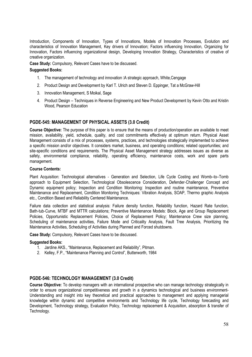Introduction. Components of Innovation. Types of Innovations. Models of Innovation Processes. Evolution and characteristics of Innovation Management, Key drivers of Innovation; Factors influencing Innovation, Organizing for Innovation, Factors influencing organizational design, Developing Innovation Strategy, Characteristics of creative of creative organization.

Case Study: Compulsory, Relevant Cases have to be discussed.

#### **Suggested Books:**

- 1. The management of technology and innovation **Q** strategic approach. White Cengage
- 2. Product Design and Development by Karl T. Ulrich and Steven D. Eppinger, Tat a McGraw-Hill
- 3. Innovation Management, S Moikal, Sage
- 4. Product Design Techniques in Reverse Engineering and New Product Development by Kevin Otto and Kristin Wood, Pearson Education

#### PGDE-545: MANAGEMENT OF PHYSICAL ASSETS (3.0 Credit)

Course Objective: The purpose of this paper is to ensure that the means of production/operation are available to meet mission, availability, yield, schedule, quality, and cost commitments effectively at optimum return. Physical Asset Management consists of a mix of processes, systems, practices, and technologies strategically implemented to achieve a specific mission and/or objectives. It considers market, business, and operating conditions; related opportunities; and site-specific conditions and requirements. The Physical Asset Management strategy addresses issues as diverse as safety, environmental compliance, reliability, operating efficiency, maintenance costs, work and spare parts management.

#### **Course Contents:**

Plant Acquisition: Technological alternatives - Generation and Selection, Life Cycle Costing and Womb-to-Tomb approach to Equipment Selection, Technological Obsolescence Consideration, Defender-Challenger Concept and Dynamic equipment policy; Inspection and Condition Monitoring: Inspection and routine maintenance, Preventive Maintenance and Replacement. Condition Monitoring Techniques: Vibration Analysis, SOAP. Thermo graphic Analysis etc., Condition Based and Reliability Centered Maintenance.

Failure data collection and statistical analysis: Failure density function, Reliability function, Hazard Rate function, Bath-tub-Curve, MTBF and MTTR calculations; Preventive Maintenance Models: Block, Age and Group Replacement Policies. Opportunistic Replacement Policies. Choice of Replacement Policy: Maintenance Crew size planning. Scheduling of maintenance activities. Failure Mode and Criticality Analysis. Fault Tree Analysis. Prioritizing the Maintenance Activities, Scheduling of Activities during Planned and Forced shutdowns.

Case Study: Compulsory, Relevant Cases have to be discussed.

#### **Suggested Books:**

- 1. Jardine AKS., "Maintenance, Replacement and Reliability", Pitman.
- 2. Kelley, F.P., "Maintenance Planning and Control". Butterworth. 1984

#### PGDE-546: TECHNOLOGY MANAGEMENT (3.0 Credit)

Course Objective: To develop managers with an international prospective who can manage technology strategically in order to ensure organizational competitiveness and growth in a dynamics technological and business environment-Understanding and insight into key theoretical and practical approaches to management and applying managerial knowledge within dynamic and competitive environments and Technology life cycle, Technology forecasting and Development, Technology strategy, Evaluation Policy, Technology replacement & Acquisition, absorption & transfer of Technology.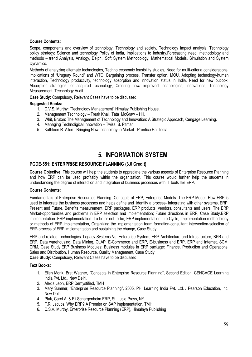#### **Course Contents:**

Scope, components and overview of technology, Technology and society, Technology Impact analysis, Technology policy strategy; Science and technology Policy of India, Implications to Industry Forecasting need, methodology and methods – trend Analysis, Analogy, Delphi, Soft System Methodology, Mathematical Models, Simulation and System Dynamics.

Methods of analyzing alternate technologies, Techno economic feasibility studies, Need for multi-criteria considerations; implications of "Uruguay Round" and WTO, Bargaining process, Transfer option, MOU, Adopting technology-human interaction, Technology productivity, technology absorption and innovation status in India, Need for new outlook, Absorption strategies for acquired technology, Creating new/ improved technologies, Innovations, Technology Measurement, Technology Audit.

Case Study: Compulsory, Relevant Cases have to be discussed.

#### **Suggested Books:**

- 1. C.V.S. Murthy: "Technology Management" Himalay Publishing House.
- 2. Management Technology Treak Khail, Tata McGraw Hill.
- 3. Whit, Bruton: The Management of Technology and Innovation: A Strategic Approach, Cengage Learning.
- 4. Managing Technoligical Innovation Twiss, B. Pitman.
- 5. Kathleen R. Allen: Bringing New technology to Market-Prentice Hall India

# **5. INFORMATION SYSTEM**

#### PGDE-551: ENTERPRISE RESOURCE PLANNING (3.0 Credit)

Course Objective: This course will help the students to appreciate the various aspects of Enterprise Resource Planning and how ERP can be used profitably within the organization. This course would further help the students in understanding the degree of interaction and integration of business processes with IT tools like ERP.

#### **Course Contents:**

Fundamentals of Enterprise Resources Planning: Concepts of ERP, Enterprise Models: The ERP Model, How ERP is used to integrate the business processes and helps define and identify a process- Integrating with other systems. ERP: Present and Future, Benefits measurement, ERP packages, ERP products, vendors, consultants and users, The ERP Market-opportunities and problems in ERP selection and implementation; Future directions in ERP, Case Study.ERP implementation: ERP implementation: To be or not to be, ERP implementation Life Cycle, Implementation methodology or methods of ERP implementation. Organizing the implementation team formation-consultant intervention-selection of ERP-process of ERP implementation and sustaining the change, Case Study.

ERP and related Technologies: Legacy Systems Vs. Enterprise System, ERP Architecture and Infrastructure, BPR and ERP, Data warehousing, Data Mining, OLAP, E-Commerce and ERP, E-business and ERP, ERP and Internet, SCM, CRM, Case Study.ERP Business Modules: Business modules in ERP package: Finance, Production and Operations, Sales and Distribution, Human Resource, Quality Management, Case Study. Case Study: Compulsory, Relevant Cases have to be discussed.

### **Text Books:**

- 1. Ellen Monk. Bret Wagner. "Concepts in Enterprise Resource Planning". Second Edition. CENGAGE Learning India Pvt. Ltd., New Delhi.
- 2. Alexis Leon, ERP Demystified, TMH
- 3. Mary Sumner, "Enterprise Resource Planning", 2005, PHI Learning India Pvt. Ltd. / Pearson Education, Inc. New Delhi.
- 4. Ptak, Carol A. & Eli Schargenheim ERP, St. Lucie Press, NY
- 5. F.R. Jacubs. Why ERP? A Premier on SAP Implementation. TMH
- 6. C.S.V. Murthy, Enterprise Resource Planning (ERP), Himalaya Publishing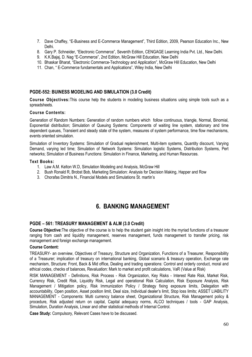- 7. Dave Chaffey, "E-Business and E-Commerce Management", Third Edition, 2009, Pearson Education Inc., New Delhi.
- 8. Gary P. Schneider, "Electronic Commerce", Seventh Edition, CENGAGE Learning India Pvt. Ltd., New Delhi.
- 9. K.K.Bajaj, D. Nag "E-Commerce", 2nd Edition, McGraw Hill Education, New Delhi
- 10. Bhaskar Bharat, "Electronic Commerce-Technology and Application", McGraw Hill Education, New Delhi
- 11. Chan, "E-Commerce fundamentals and Applications", Wiley India, New Delhi

#### PGDE-552: BUINESS MODELING AND SIMULATION (3.0 Credit)

Course Objectives: This course help the students in modeling business situations using simple tools such as a spreadsheets.

#### **Course Contents:**

Generation of Random Numbers: Generation of random numbers which follow continuous, triangle, Normal, Binomial, Exponential distribution; Simulation of Queuing Systems: Components of waiting line system, stationary and time dependent queues. Transient and steady state of the system, measures of system performance, time flow mechanisms, events oriented simulation.

Simulation of Inventory Systems: Simulation of Gradual replenishment, Multi-item systems, Quantity discount, Varying Demand, varying led time; Simulation of Network Systems: Simulation logistic Systems, Distribution Systems, Pert networks; Simulation of Business Functions: Simulation in Finance, Marketing, and Human Resources.

#### **Text Books:**

- 1. Law A.M. Kelton W.D, Simulation Modeling and Analysis, McGraw Hill
- 2. Bush Ronald R, Brobst Bob, Marketing Simulation: Analysis for Decision Making, Happer and Row
- 3. Chorafas Dimitris N., Financial Models and Simulations St. martin's

# **6. BANKING MANAGEMENT**

#### PGDE - 561: TREASURY MANAGEMENT & ALM (3.0 Credit)

Course Objective: The objective of the course is to help the student gain insight into the myriad functions of a treasurer ranging from cash and liquidity management, reserves management, funds management to transfer pricing, risk management and foreign exchange management.

#### **Course Content:**

TREASURY- an overview. Objectives of Treasury, Structure and Organization. Functions of a Treasurer, Responsibility of a Treasurer; implication of treasury on international banking, Global scenario & treasury operation, Exchange rate mechanism, Structure: Front, Back & Mid office, Dealing and trading operations: Control and orderly conduct, moral and ethical codes, checks of balances, Revaluation: Mark to market and profit calculations, VaR (Value at Risk)

RISK MANAGEMENT - Definitions, Risk Process - Risk Organization, Key Risks - Interest Rate Risk, Market Risk, Currency Risk, Credit Risk, Liquidity Risk, Legal and operational Risk Calculation, Risk Exposure Analysis, Risk Management / Mitigation policy, Risk Immunization Policy / Strategy fixing exposure limits, Delegation with accountability, Open position, Asset position limit, Deal size, Individual dealer's limit, Stop loss limits; ASSET LIABILITY MANAGEMENT - Components: Multi currency balance sheet, Organizational Structure, Risk Management policy & procedure. Risk adjusted return on capital. Capital adequacy norms, ALCO techniques / tools - GAP Analysis, Simulation, Duration Analysis, Linear and other statistical methods of Internal Control.

Case Study: Compulsory, Relevant Cases have to be discussed.